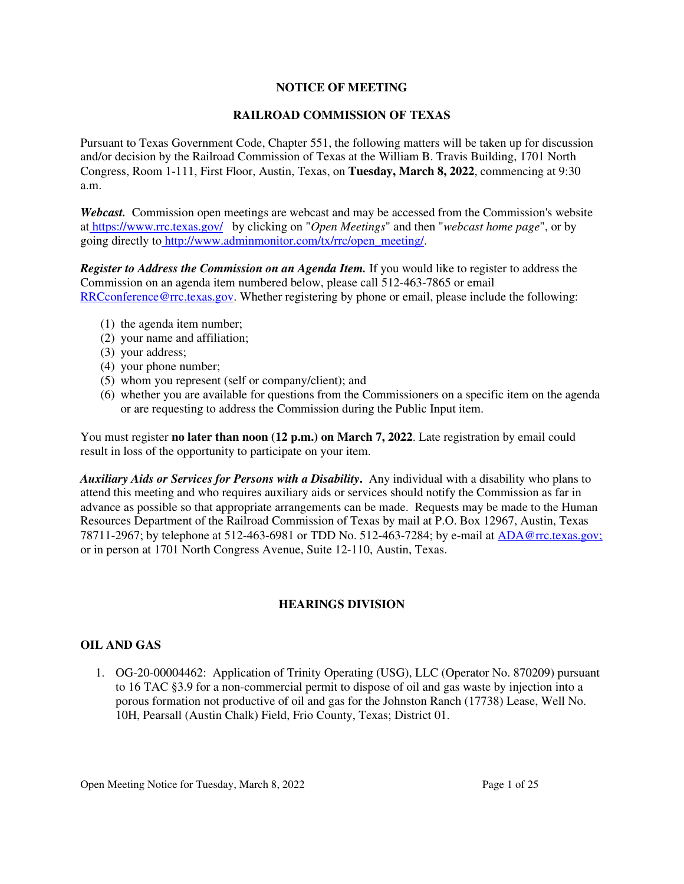## **NOTICE OF MEETING**

## **RAILROAD COMMISSION OF TEXAS**

Pursuant to Texas Government Code, Chapter 551, the following matters will be taken up for discussion and/or decision by the Railroad Commission of Texas at the William B. Travis Building, 1701 North Congress, Room 1-111, First Floor, Austin, Texas, on **Tuesday, March 8, 2022**, commencing at 9:30 a.m.

*Webcast.* Commission open meetings are webcast and may be accessed from the Commission's website at https://www.rrc.texas.gov/ by clicking on "*Open Meetings*" and then "*webcast home page*", or by going directly to http://www.adminmonitor.com/tx/rrc/open\_meeting/.

*Register to Address the Commission on an Agenda Item.* If you would like to register to address the Commission on an agenda item numbered below, please call 512-463-7865 or email RRCconference@rrc.texas.gov. Whether registering by phone or email, please include the following:

- (1) the agenda item number;
- (2) your name and affiliation;
- (3) your address;
- (4) your phone number;
- (5) whom you represent (self or company/client); and
- (6) whether you are available for questions from the Commissioners on a specific item on the agenda or are requesting to address the Commission during the Public Input item.

You must register **no later than noon (12 p.m.) on March 7, 2022**. Late registration by email could result in loss of the opportunity to participate on your item.

*Auxiliary Aids or Services for Persons with a Disability***.** Any individual with a disability who plans to attend this meeting and who requires auxiliary aids or services should notify the Commission as far in advance as possible so that appropriate arrangements can be made. Requests may be made to the Human Resources Department of the Railroad Commission of Texas by mail at P.O. Box 12967, Austin, Texas 78711-2967; by telephone at 512-463-6981 or TDD No. 512-463-7284; by e-mail at ADA@rrc.texas.gov; or in person at 1701 North Congress Avenue, Suite 12-110, Austin, Texas.

# **HEARINGS DIVISION**

# **OIL AND GAS**

1. OG-20-00004462: Application of Trinity Operating (USG), LLC (Operator No. 870209) pursuant to 16 TAC §3.9 for a non-commercial permit to dispose of oil and gas waste by injection into a porous formation not productive of oil and gas for the Johnston Ranch (17738) Lease, Well No. 10H, Pearsall (Austin Chalk) Field, Frio County, Texas; District 01.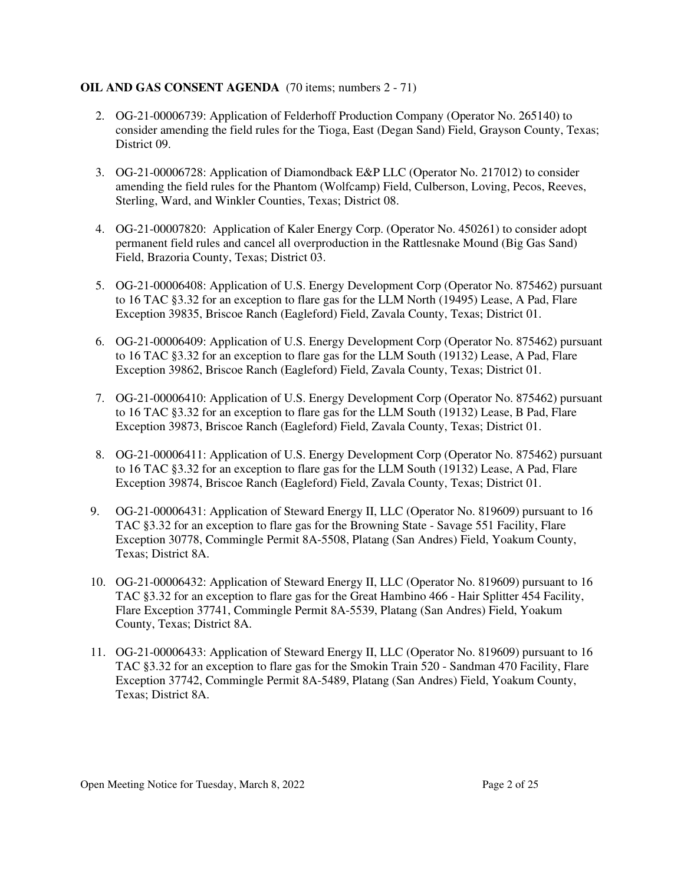## **OIL AND GAS CONSENT AGENDA** (70 items; numbers 2 - 71)

- 2. OG-21-00006739: Application of Felderhoff Production Company (Operator No. 265140) to consider amending the field rules for the Tioga, East (Degan Sand) Field, Grayson County, Texas; District 09.
- 3. OG-21-00006728: Application of Diamondback E&P LLC (Operator No. 217012) to consider amending the field rules for the Phantom (Wolfcamp) Field, Culberson, Loving, Pecos, Reeves, Sterling, Ward, and Winkler Counties, Texas; District 08.
- 4. OG-21-00007820: Application of Kaler Energy Corp. (Operator No. 450261) to consider adopt permanent field rules and cancel all overproduction in the Rattlesnake Mound (Big Gas Sand) Field, Brazoria County, Texas; District 03.
- 5. OG-21-00006408: Application of U.S. Energy Development Corp (Operator No. 875462) pursuant to 16 TAC §3.32 for an exception to flare gas for the LLM North (19495) Lease, A Pad, Flare Exception 39835, Briscoe Ranch (Eagleford) Field, Zavala County, Texas; District 01.
- 6. OG-21-00006409: Application of U.S. Energy Development Corp (Operator No. 875462) pursuant to 16 TAC §3.32 for an exception to flare gas for the LLM South (19132) Lease, A Pad, Flare Exception 39862, Briscoe Ranch (Eagleford) Field, Zavala County, Texas; District 01.
- 7. OG-21-00006410: Application of U.S. Energy Development Corp (Operator No. 875462) pursuant to 16 TAC §3.32 for an exception to flare gas for the LLM South (19132) Lease, B Pad, Flare Exception 39873, Briscoe Ranch (Eagleford) Field, Zavala County, Texas; District 01.
- 8. OG-21-00006411: Application of U.S. Energy Development Corp (Operator No. 875462) pursuant to 16 TAC §3.32 for an exception to flare gas for the LLM South (19132) Lease, A Pad, Flare Exception 39874, Briscoe Ranch (Eagleford) Field, Zavala County, Texas; District 01.
- 9. OG-21-00006431: Application of Steward Energy II, LLC (Operator No. 819609) pursuant to 16 TAC §3.32 for an exception to flare gas for the Browning State - Savage 551 Facility, Flare Exception 30778, Commingle Permit 8A-5508, Platang (San Andres) Field, Yoakum County, Texas; District 8A.
- 10. OG-21-00006432: Application of Steward Energy II, LLC (Operator No. 819609) pursuant to 16 TAC §3.32 for an exception to flare gas for the Great Hambino 466 - Hair Splitter 454 Facility, Flare Exception 37741, Commingle Permit 8A-5539, Platang (San Andres) Field, Yoakum County, Texas; District 8A.
- 11. OG-21-00006433: Application of Steward Energy II, LLC (Operator No. 819609) pursuant to 16 TAC §3.32 for an exception to flare gas for the Smokin Train 520 - Sandman 470 Facility, Flare Exception 37742, Commingle Permit 8A-5489, Platang (San Andres) Field, Yoakum County, Texas; District 8A.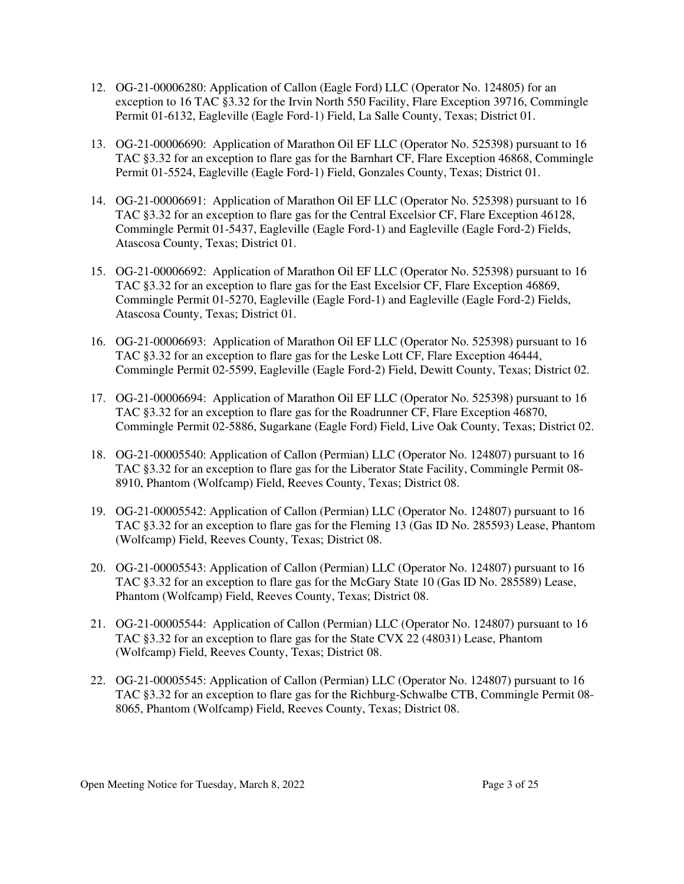- 12. OG-21-00006280: Application of Callon (Eagle Ford) LLC (Operator No. 124805) for an exception to 16 TAC §3.32 for the Irvin North 550 Facility, Flare Exception 39716, Commingle Permit 01-6132, Eagleville (Eagle Ford-1) Field, La Salle County, Texas; District 01.
- 13. OG-21-00006690: Application of Marathon Oil EF LLC (Operator No. 525398) pursuant to 16 TAC §3.32 for an exception to flare gas for the Barnhart CF, Flare Exception 46868, Commingle Permit 01-5524, Eagleville (Eagle Ford-1) Field, Gonzales County, Texas; District 01.
- 14. OG-21-00006691: Application of Marathon Oil EF LLC (Operator No. 525398) pursuant to 16 TAC §3.32 for an exception to flare gas for the Central Excelsior CF, Flare Exception 46128, Commingle Permit 01-5437, Eagleville (Eagle Ford-1) and Eagleville (Eagle Ford-2) Fields, Atascosa County, Texas; District 01.
- 15. OG-21-00006692: Application of Marathon Oil EF LLC (Operator No. 525398) pursuant to 16 TAC §3.32 for an exception to flare gas for the East Excelsior CF, Flare Exception 46869, Commingle Permit 01-5270, Eagleville (Eagle Ford-1) and Eagleville (Eagle Ford-2) Fields, Atascosa County, Texas; District 01.
- 16. OG-21-00006693: Application of Marathon Oil EF LLC (Operator No. 525398) pursuant to 16 TAC §3.32 for an exception to flare gas for the Leske Lott CF, Flare Exception 46444, Commingle Permit 02-5599, Eagleville (Eagle Ford-2) Field, Dewitt County, Texas; District 02.
- 17. OG-21-00006694: Application of Marathon Oil EF LLC (Operator No. 525398) pursuant to 16 TAC §3.32 for an exception to flare gas for the Roadrunner CF, Flare Exception 46870, Commingle Permit 02-5886, Sugarkane (Eagle Ford) Field, Live Oak County, Texas; District 02.
- 18. OG-21-00005540: Application of Callon (Permian) LLC (Operator No. 124807) pursuant to 16 TAC §3.32 for an exception to flare gas for the Liberator State Facility, Commingle Permit 08- 8910, Phantom (Wolfcamp) Field, Reeves County, Texas; District 08.
- 19. OG-21-00005542: Application of Callon (Permian) LLC (Operator No. 124807) pursuant to 16 TAC §3.32 for an exception to flare gas for the Fleming 13 (Gas ID No. 285593) Lease, Phantom (Wolfcamp) Field, Reeves County, Texas; District 08.
- 20. OG-21-00005543: Application of Callon (Permian) LLC (Operator No. 124807) pursuant to 16 TAC §3.32 for an exception to flare gas for the McGary State 10 (Gas ID No. 285589) Lease, Phantom (Wolfcamp) Field, Reeves County, Texas; District 08.
- 21. OG-21-00005544: Application of Callon (Permian) LLC (Operator No. 124807) pursuant to 16 TAC §3.32 for an exception to flare gas for the State CVX 22 (48031) Lease, Phantom (Wolfcamp) Field, Reeves County, Texas; District 08.
- 22. OG-21-00005545: Application of Callon (Permian) LLC (Operator No. 124807) pursuant to 16 TAC §3.32 for an exception to flare gas for the Richburg-Schwalbe CTB, Commingle Permit 08- 8065, Phantom (Wolfcamp) Field, Reeves County, Texas; District 08.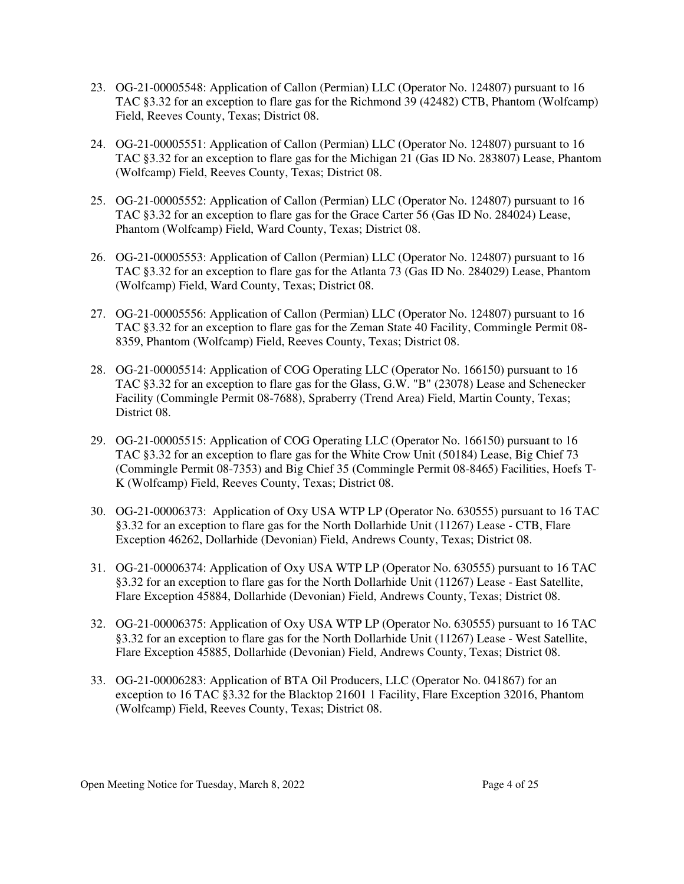- 23. OG-21-00005548: Application of Callon (Permian) LLC (Operator No. 124807) pursuant to 16 TAC §3.32 for an exception to flare gas for the Richmond 39 (42482) CTB, Phantom (Wolfcamp) Field, Reeves County, Texas; District 08.
- 24. OG-21-00005551: Application of Callon (Permian) LLC (Operator No. 124807) pursuant to 16 TAC §3.32 for an exception to flare gas for the Michigan 21 (Gas ID No. 283807) Lease, Phantom (Wolfcamp) Field, Reeves County, Texas; District 08.
- 25. OG-21-00005552: Application of Callon (Permian) LLC (Operator No. 124807) pursuant to 16 TAC §3.32 for an exception to flare gas for the Grace Carter 56 (Gas ID No. 284024) Lease, Phantom (Wolfcamp) Field, Ward County, Texas; District 08.
- 26. OG-21-00005553: Application of Callon (Permian) LLC (Operator No. 124807) pursuant to 16 TAC §3.32 for an exception to flare gas for the Atlanta 73 (Gas ID No. 284029) Lease, Phantom (Wolfcamp) Field, Ward County, Texas; District 08.
- 27. OG-21-00005556: Application of Callon (Permian) LLC (Operator No. 124807) pursuant to 16 TAC §3.32 for an exception to flare gas for the Zeman State 40 Facility, Commingle Permit 08- 8359, Phantom (Wolfcamp) Field, Reeves County, Texas; District 08.
- 28. OG-21-00005514: Application of COG Operating LLC (Operator No. 166150) pursuant to 16 TAC §3.32 for an exception to flare gas for the Glass, G.W. "B" (23078) Lease and Schenecker Facility (Commingle Permit 08-7688), Spraberry (Trend Area) Field, Martin County, Texas; District 08.
- 29. OG-21-00005515: Application of COG Operating LLC (Operator No. 166150) pursuant to 16 TAC §3.32 for an exception to flare gas for the White Crow Unit (50184) Lease, Big Chief 73 (Commingle Permit 08-7353) and Big Chief 35 (Commingle Permit 08-8465) Facilities, Hoefs T-K (Wolfcamp) Field, Reeves County, Texas; District 08.
- 30. OG-21-00006373: Application of Oxy USA WTP LP (Operator No. 630555) pursuant to 16 TAC §3.32 for an exception to flare gas for the North Dollarhide Unit (11267) Lease - CTB, Flare Exception 46262, Dollarhide (Devonian) Field, Andrews County, Texas; District 08.
- 31. OG-21-00006374: Application of Oxy USA WTP LP (Operator No. 630555) pursuant to 16 TAC §3.32 for an exception to flare gas for the North Dollarhide Unit (11267) Lease - East Satellite, Flare Exception 45884, Dollarhide (Devonian) Field, Andrews County, Texas; District 08.
- 32. OG-21-00006375: Application of Oxy USA WTP LP (Operator No. 630555) pursuant to 16 TAC §3.32 for an exception to flare gas for the North Dollarhide Unit (11267) Lease - West Satellite, Flare Exception 45885, Dollarhide (Devonian) Field, Andrews County, Texas; District 08.
- 33. OG-21-00006283: Application of BTA Oil Producers, LLC (Operator No. 041867) for an exception to 16 TAC §3.32 for the Blacktop 21601 1 Facility, Flare Exception 32016, Phantom (Wolfcamp) Field, Reeves County, Texas; District 08.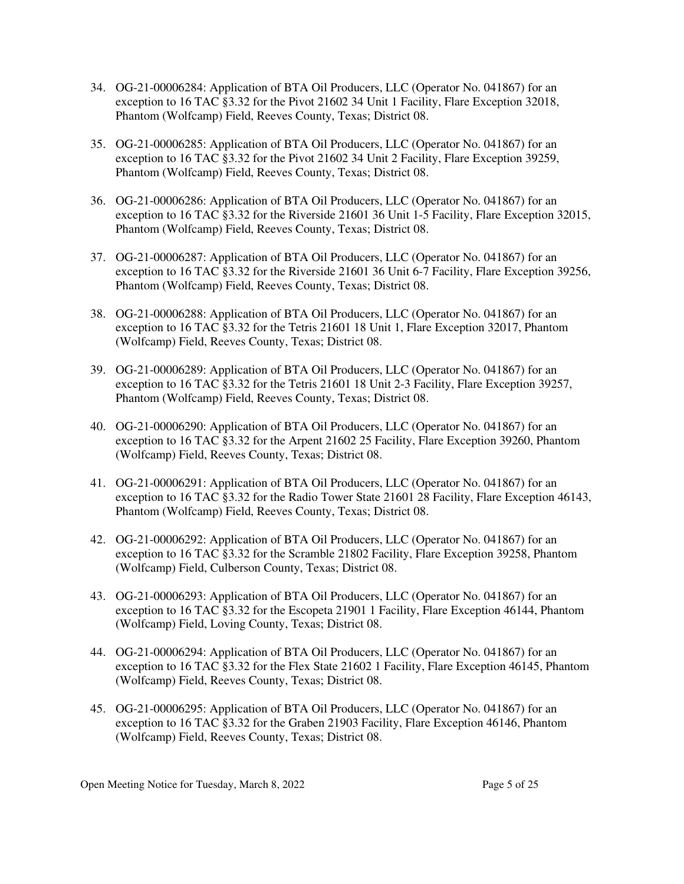- 34. OG-21-00006284: Application of BTA Oil Producers, LLC (Operator No. 041867) for an exception to 16 TAC §3.32 for the Pivot 21602 34 Unit 1 Facility, Flare Exception 32018, Phantom (Wolfcamp) Field, Reeves County, Texas; District 08.
- 35. OG-21-00006285: Application of BTA Oil Producers, LLC (Operator No. 041867) for an exception to 16 TAC §3.32 for the Pivot 21602 34 Unit 2 Facility, Flare Exception 39259, Phantom (Wolfcamp) Field, Reeves County, Texas; District 08.
- 36. OG-21-00006286: Application of BTA Oil Producers, LLC (Operator No. 041867) for an exception to 16 TAC §3.32 for the Riverside 21601 36 Unit 1-5 Facility, Flare Exception 32015, Phantom (Wolfcamp) Field, Reeves County, Texas; District 08.
- 37. OG-21-00006287: Application of BTA Oil Producers, LLC (Operator No. 041867) for an exception to 16 TAC §3.32 for the Riverside 21601 36 Unit 6-7 Facility, Flare Exception 39256, Phantom (Wolfcamp) Field, Reeves County, Texas; District 08.
- 38. OG-21-00006288: Application of BTA Oil Producers, LLC (Operator No. 041867) for an exception to 16 TAC §3.32 for the Tetris 21601 18 Unit 1, Flare Exception 32017, Phantom (Wolfcamp) Field, Reeves County, Texas; District 08.
- 39. OG-21-00006289: Application of BTA Oil Producers, LLC (Operator No. 041867) for an exception to 16 TAC §3.32 for the Tetris 21601 18 Unit 2-3 Facility, Flare Exception 39257, Phantom (Wolfcamp) Field, Reeves County, Texas; District 08.
- 40. OG-21-00006290: Application of BTA Oil Producers, LLC (Operator No. 041867) for an exception to 16 TAC §3.32 for the Arpent 21602 25 Facility, Flare Exception 39260, Phantom (Wolfcamp) Field, Reeves County, Texas; District 08.
- 41. OG-21-00006291: Application of BTA Oil Producers, LLC (Operator No. 041867) for an exception to 16 TAC §3.32 for the Radio Tower State 21601 28 Facility, Flare Exception 46143, Phantom (Wolfcamp) Field, Reeves County, Texas; District 08.
- 42. OG-21-00006292: Application of BTA Oil Producers, LLC (Operator No. 041867) for an exception to 16 TAC §3.32 for the Scramble 21802 Facility, Flare Exception 39258, Phantom (Wolfcamp) Field, Culberson County, Texas; District 08.
- 43. OG-21-00006293: Application of BTA Oil Producers, LLC (Operator No. 041867) for an exception to 16 TAC §3.32 for the Escopeta 21901 1 Facility, Flare Exception 46144, Phantom (Wolfcamp) Field, Loving County, Texas; District 08.
- 44. OG-21-00006294: Application of BTA Oil Producers, LLC (Operator No. 041867) for an exception to 16 TAC §3.32 for the Flex State 21602 1 Facility, Flare Exception 46145, Phantom (Wolfcamp) Field, Reeves County, Texas; District 08.
- 45. OG-21-00006295: Application of BTA Oil Producers, LLC (Operator No. 041867) for an exception to 16 TAC §3.32 for the Graben 21903 Facility, Flare Exception 46146, Phantom (Wolfcamp) Field, Reeves County, Texas; District 08.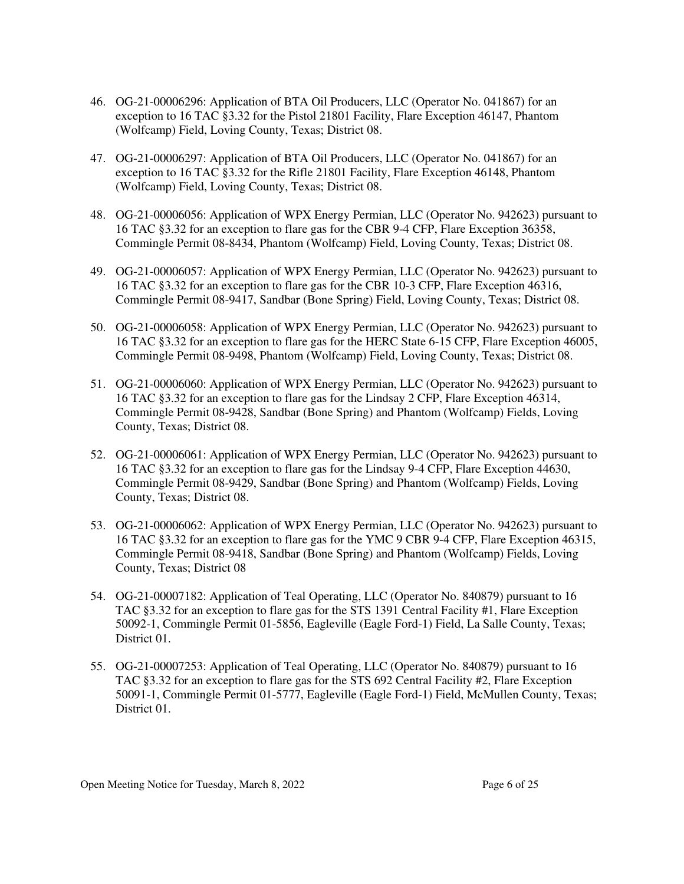- 46. OG-21-00006296: Application of BTA Oil Producers, LLC (Operator No. 041867) for an exception to 16 TAC §3.32 for the Pistol 21801 Facility, Flare Exception 46147, Phantom (Wolfcamp) Field, Loving County, Texas; District 08.
- 47. OG-21-00006297: Application of BTA Oil Producers, LLC (Operator No. 041867) for an exception to 16 TAC §3.32 for the Rifle 21801 Facility, Flare Exception 46148, Phantom (Wolfcamp) Field, Loving County, Texas; District 08.
- 48. OG-21-00006056: Application of WPX Energy Permian, LLC (Operator No. 942623) pursuant to 16 TAC §3.32 for an exception to flare gas for the CBR 9-4 CFP, Flare Exception 36358, Commingle Permit 08-8434, Phantom (Wolfcamp) Field, Loving County, Texas; District 08.
- 49. OG-21-00006057: Application of WPX Energy Permian, LLC (Operator No. 942623) pursuant to 16 TAC §3.32 for an exception to flare gas for the CBR 10-3 CFP, Flare Exception 46316, Commingle Permit 08-9417, Sandbar (Bone Spring) Field, Loving County, Texas; District 08.
- 50. OG-21-00006058: Application of WPX Energy Permian, LLC (Operator No. 942623) pursuant to 16 TAC §3.32 for an exception to flare gas for the HERC State 6-15 CFP, Flare Exception 46005, Commingle Permit 08-9498, Phantom (Wolfcamp) Field, Loving County, Texas; District 08.
- 51. OG-21-00006060: Application of WPX Energy Permian, LLC (Operator No. 942623) pursuant to 16 TAC §3.32 for an exception to flare gas for the Lindsay 2 CFP, Flare Exception 46314, Commingle Permit 08-9428, Sandbar (Bone Spring) and Phantom (Wolfcamp) Fields, Loving County, Texas; District 08.
- 52. OG-21-00006061: Application of WPX Energy Permian, LLC (Operator No. 942623) pursuant to 16 TAC §3.32 for an exception to flare gas for the Lindsay 9-4 CFP, Flare Exception 44630, Commingle Permit 08-9429, Sandbar (Bone Spring) and Phantom (Wolfcamp) Fields, Loving County, Texas; District 08.
- 53. OG-21-00006062: Application of WPX Energy Permian, LLC (Operator No. 942623) pursuant to 16 TAC §3.32 for an exception to flare gas for the YMC 9 CBR 9-4 CFP, Flare Exception 46315, Commingle Permit 08-9418, Sandbar (Bone Spring) and Phantom (Wolfcamp) Fields, Loving County, Texas; District 08
- 54. OG-21-00007182: Application of Teal Operating, LLC (Operator No. 840879) pursuant to 16 TAC §3.32 for an exception to flare gas for the STS 1391 Central Facility #1, Flare Exception 50092-1, Commingle Permit 01-5856, Eagleville (Eagle Ford-1) Field, La Salle County, Texas; District 01.
- 55. OG-21-00007253: Application of Teal Operating, LLC (Operator No. 840879) pursuant to 16 TAC §3.32 for an exception to flare gas for the STS 692 Central Facility #2, Flare Exception 50091-1, Commingle Permit 01-5777, Eagleville (Eagle Ford-1) Field, McMullen County, Texas; District 01.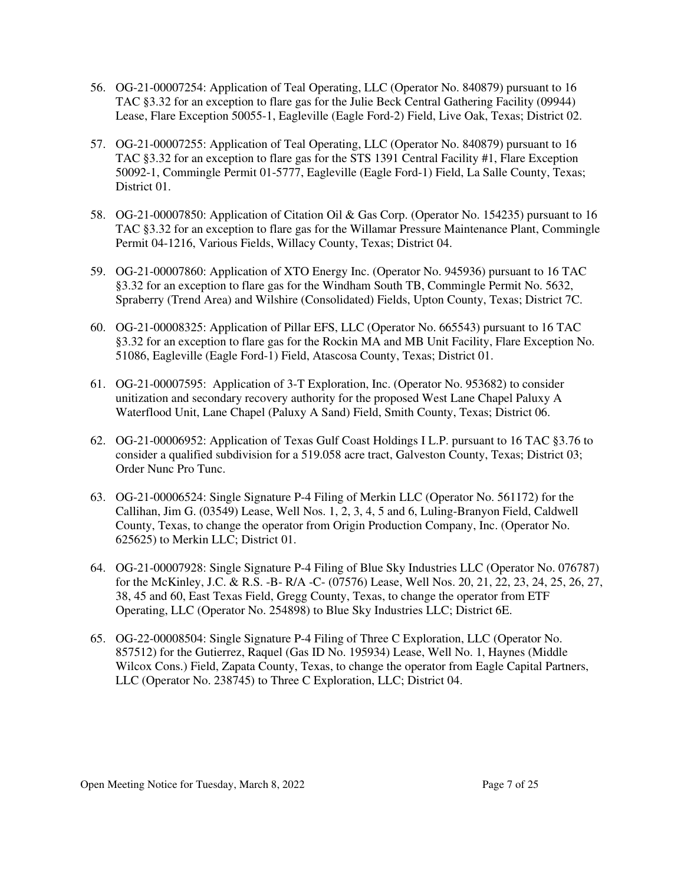- 56. OG-21-00007254: Application of Teal Operating, LLC (Operator No. 840879) pursuant to 16 TAC §3.32 for an exception to flare gas for the Julie Beck Central Gathering Facility (09944) Lease, Flare Exception 50055-1, Eagleville (Eagle Ford-2) Field, Live Oak, Texas; District 02.
- 57. OG-21-00007255: Application of Teal Operating, LLC (Operator No. 840879) pursuant to 16 TAC §3.32 for an exception to flare gas for the STS 1391 Central Facility #1, Flare Exception 50092-1, Commingle Permit 01-5777, Eagleville (Eagle Ford-1) Field, La Salle County, Texas; District 01.
- 58. OG-21-00007850: Application of Citation Oil & Gas Corp. (Operator No. 154235) pursuant to 16 TAC §3.32 for an exception to flare gas for the Willamar Pressure Maintenance Plant, Commingle Permit 04-1216, Various Fields, Willacy County, Texas; District 04.
- 59. OG-21-00007860: Application of XTO Energy Inc. (Operator No. 945936) pursuant to 16 TAC §3.32 for an exception to flare gas for the Windham South TB, Commingle Permit No. 5632, Spraberry (Trend Area) and Wilshire (Consolidated) Fields, Upton County, Texas; District 7C.
- 60. OG-21-00008325: Application of Pillar EFS, LLC (Operator No. 665543) pursuant to 16 TAC §3.32 for an exception to flare gas for the Rockin MA and MB Unit Facility, Flare Exception No. 51086, Eagleville (Eagle Ford-1) Field, Atascosa County, Texas; District 01.
- 61. OG-21-00007595: Application of 3-T Exploration, Inc. (Operator No. 953682) to consider unitization and secondary recovery authority for the proposed West Lane Chapel Paluxy A Waterflood Unit, Lane Chapel (Paluxy A Sand) Field, Smith County, Texas; District 06.
- 62. OG-21-00006952: Application of Texas Gulf Coast Holdings I L.P. pursuant to 16 TAC §3.76 to consider a qualified subdivision for a 519.058 acre tract, Galveston County, Texas; District 03; Order Nunc Pro Tunc.
- 63. OG-21-00006524: Single Signature P-4 Filing of Merkin LLC (Operator No. 561172) for the Callihan, Jim G. (03549) Lease, Well Nos. 1, 2, 3, 4, 5 and 6, Luling-Branyon Field, Caldwell County, Texas, to change the operator from Origin Production Company, Inc. (Operator No. 625625) to Merkin LLC; District 01.
- 64. OG-21-00007928: Single Signature P-4 Filing of Blue Sky Industries LLC (Operator No. 076787) for the McKinley, J.C. & R.S. -B- R/A -C- (07576) Lease, Well Nos. 20, 21, 22, 23, 24, 25, 26, 27, 38, 45 and 60, East Texas Field, Gregg County, Texas, to change the operator from ETF Operating, LLC (Operator No. 254898) to Blue Sky Industries LLC; District 6E.
- 65. OG-22-00008504: Single Signature P-4 Filing of Three C Exploration, LLC (Operator No. 857512) for the Gutierrez, Raquel (Gas ID No. 195934) Lease, Well No. 1, Haynes (Middle Wilcox Cons.) Field, Zapata County, Texas, to change the operator from Eagle Capital Partners, LLC (Operator No. 238745) to Three C Exploration, LLC; District 04.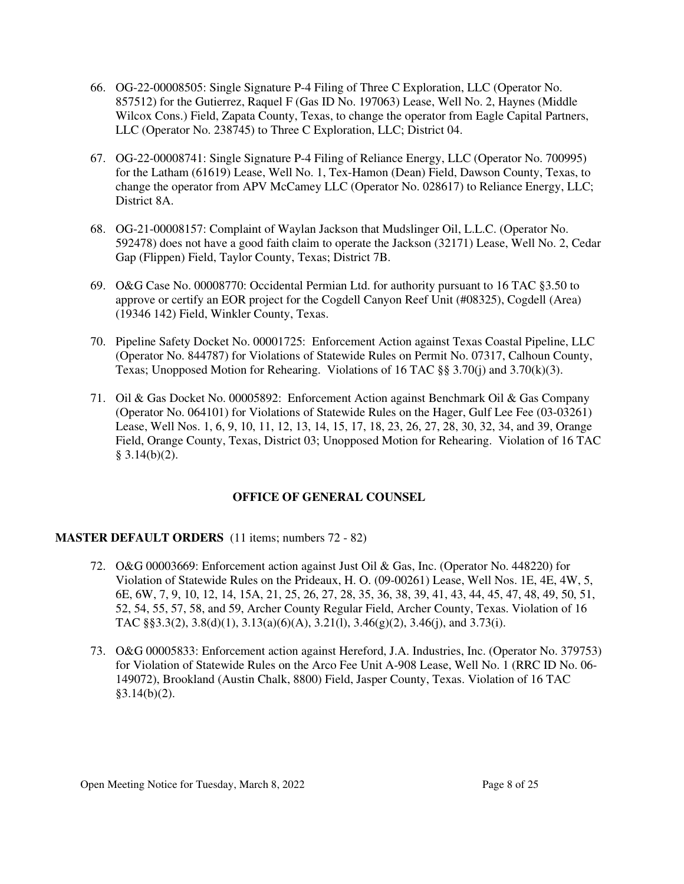- 66. OG-22-00008505: Single Signature P-4 Filing of Three C Exploration, LLC (Operator No. 857512) for the Gutierrez, Raquel F (Gas ID No. 197063) Lease, Well No. 2, Haynes (Middle Wilcox Cons.) Field, Zapata County, Texas, to change the operator from Eagle Capital Partners, LLC (Operator No. 238745) to Three C Exploration, LLC; District 04.
- 67. OG-22-00008741: Single Signature P-4 Filing of Reliance Energy, LLC (Operator No. 700995) for the Latham (61619) Lease, Well No. 1, Tex-Hamon (Dean) Field, Dawson County, Texas, to change the operator from APV McCamey LLC (Operator No. 028617) to Reliance Energy, LLC; District 8A.
- 68. OG-21-00008157: Complaint of Waylan Jackson that Mudslinger Oil, L.L.C. (Operator No. 592478) does not have a good faith claim to operate the Jackson (32171) Lease, Well No. 2, Cedar Gap (Flippen) Field, Taylor County, Texas; District 7B.
- 69. O&G Case No. 00008770: Occidental Permian Ltd. for authority pursuant to 16 TAC §3.50 to approve or certify an EOR project for the Cogdell Canyon Reef Unit (#08325), Cogdell (Area) (19346 142) Field, Winkler County, Texas.
- 70. Pipeline Safety Docket No. 00001725: Enforcement Action against Texas Coastal Pipeline, LLC (Operator No. 844787) for Violations of Statewide Rules on Permit No. 07317, Calhoun County, Texas; Unopposed Motion for Rehearing. Violations of 16 TAC  $\S$ § 3.70(j) and 3.70(k)(3).
- 71. Oil & Gas Docket No. 00005892: Enforcement Action against Benchmark Oil & Gas Company (Operator No. 064101) for Violations of Statewide Rules on the Hager, Gulf Lee Fee (03-03261) Lease, Well Nos. 1, 6, 9, 10, 11, 12, 13, 14, 15, 17, 18, 23, 26, 27, 28, 30, 32, 34, and 39, Orange Field, Orange County, Texas, District 03; Unopposed Motion for Rehearing. Violation of 16 TAC  $§ 3.14(b)(2).$

# **OFFICE OF GENERAL COUNSEL**

# **MASTER DEFAULT ORDERS** (11 items; numbers 72 - 82)

- 72. O&G 00003669: Enforcement action against Just Oil & Gas, Inc. (Operator No. 448220) for Violation of Statewide Rules on the Prideaux, H. O. (09-00261) Lease, Well Nos. 1E, 4E, 4W, 5, 6E, 6W, 7, 9, 10, 12, 14, 15A, 21, 25, 26, 27, 28, 35, 36, 38, 39, 41, 43, 44, 45, 47, 48, 49, 50, 51, 52, 54, 55, 57, 58, and 59, Archer County Regular Field, Archer County, Texas. Violation of 16 TAC §§3.3(2), 3.8(d)(1), 3.13(a)(6)(A), 3.21(l), 3.46(g)(2), 3.46(j), and 3.73(i).
- 73. O&G 00005833: Enforcement action against Hereford, J.A. Industries, Inc. (Operator No. 379753) for Violation of Statewide Rules on the Arco Fee Unit A-908 Lease, Well No. 1 (RRC ID No. 06- 149072), Brookland (Austin Chalk, 8800) Field, Jasper County, Texas. Violation of 16 TAC  $§3.14(b)(2).$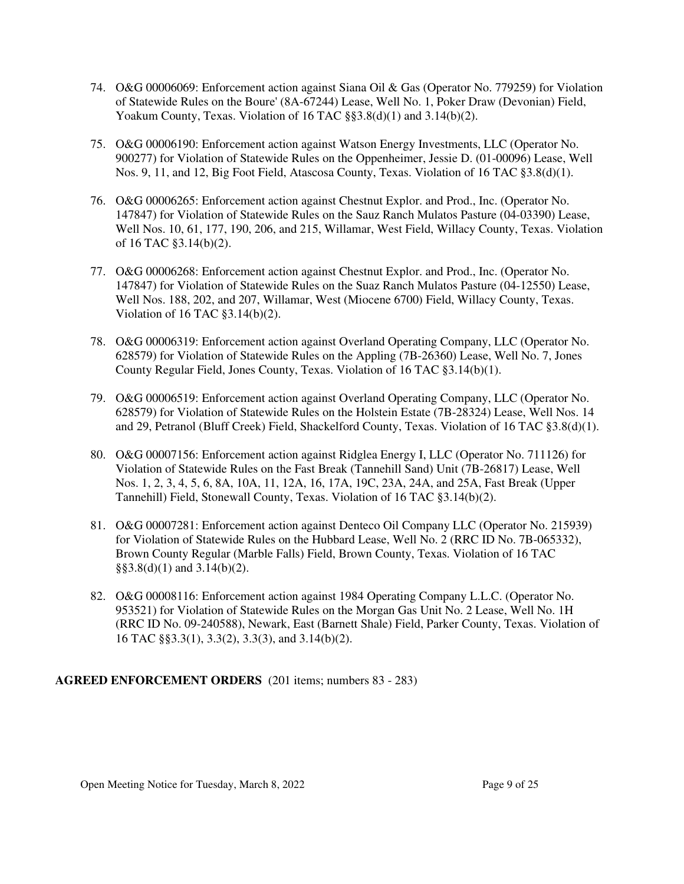- 74. O&G 00006069: Enforcement action against Siana Oil & Gas (Operator No. 779259) for Violation of Statewide Rules on the Boure' (8A-67244) Lease, Well No. 1, Poker Draw (Devonian) Field, Yoakum County, Texas. Violation of 16 TAC §§3.8(d)(1) and 3.14(b)(2).
- 75. O&G 00006190: Enforcement action against Watson Energy Investments, LLC (Operator No. 900277) for Violation of Statewide Rules on the Oppenheimer, Jessie D. (01-00096) Lease, Well Nos. 9, 11, and 12, Big Foot Field, Atascosa County, Texas. Violation of 16 TAC §3.8(d)(1).
- 76. O&G 00006265: Enforcement action against Chestnut Explor. and Prod., Inc. (Operator No. 147847) for Violation of Statewide Rules on the Sauz Ranch Mulatos Pasture (04-03390) Lease, Well Nos. 10, 61, 177, 190, 206, and 215, Willamar, West Field, Willacy County, Texas. Violation of 16 TAC §3.14(b)(2).
- 77. O&G 00006268: Enforcement action against Chestnut Explor. and Prod., Inc. (Operator No. 147847) for Violation of Statewide Rules on the Suaz Ranch Mulatos Pasture (04-12550) Lease, Well Nos. 188, 202, and 207, Willamar, West (Miocene 6700) Field, Willacy County, Texas. Violation of 16 TAC §3.14(b)(2).
- 78. O&G 00006319: Enforcement action against Overland Operating Company, LLC (Operator No. 628579) for Violation of Statewide Rules on the Appling (7B-26360) Lease, Well No. 7, Jones County Regular Field, Jones County, Texas. Violation of 16 TAC §3.14(b)(1).
- 79. O&G 00006519: Enforcement action against Overland Operating Company, LLC (Operator No. 628579) for Violation of Statewide Rules on the Holstein Estate (7B-28324) Lease, Well Nos. 14 and 29, Petranol (Bluff Creek) Field, Shackelford County, Texas. Violation of 16 TAC §3.8(d)(1).
- 80. O&G 00007156: Enforcement action against Ridglea Energy I, LLC (Operator No. 711126) for Violation of Statewide Rules on the Fast Break (Tannehill Sand) Unit (7B-26817) Lease, Well Nos. 1, 2, 3, 4, 5, 6, 8A, 10A, 11, 12A, 16, 17A, 19C, 23A, 24A, and 25A, Fast Break (Upper Tannehill) Field, Stonewall County, Texas. Violation of 16 TAC §3.14(b)(2).
- 81. O&G 00007281: Enforcement action against Denteco Oil Company LLC (Operator No. 215939) for Violation of Statewide Rules on the Hubbard Lease, Well No. 2 (RRC ID No. 7B-065332), Brown County Regular (Marble Falls) Field, Brown County, Texas. Violation of 16 TAC  $\S$ §3.8(d)(1) and 3.14(b)(2).
- 82. O&G 00008116: Enforcement action against 1984 Operating Company L.L.C. (Operator No. 953521) for Violation of Statewide Rules on the Morgan Gas Unit No. 2 Lease, Well No. 1H (RRC ID No. 09-240588), Newark, East (Barnett Shale) Field, Parker County, Texas. Violation of 16 TAC §§3.3(1), 3.3(2), 3.3(3), and 3.14(b)(2).

# **AGREED ENFORCEMENT ORDERS** (201 items; numbers 83 - 283)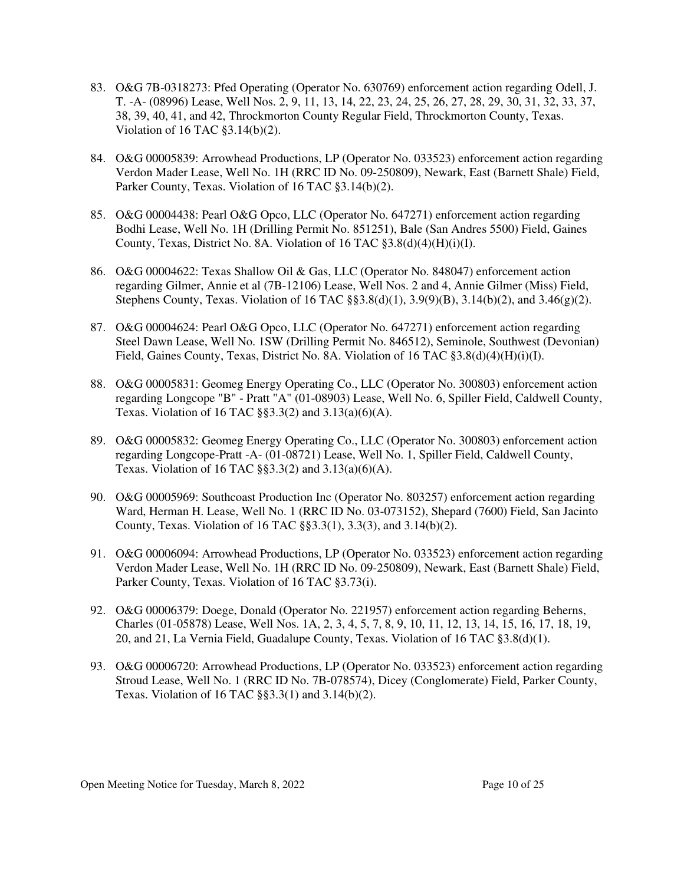- 83. O&G 7B-0318273: Pfed Operating (Operator No. 630769) enforcement action regarding Odell, J. T. -A- (08996) Lease, Well Nos. 2, 9, 11, 13, 14, 22, 23, 24, 25, 26, 27, 28, 29, 30, 31, 32, 33, 37, 38, 39, 40, 41, and 42, Throckmorton County Regular Field, Throckmorton County, Texas. Violation of 16 TAC §3.14(b)(2).
- 84. O&G 00005839: Arrowhead Productions, LP (Operator No. 033523) enforcement action regarding Verdon Mader Lease, Well No. 1H (RRC ID No. 09-250809), Newark, East (Barnett Shale) Field, Parker County, Texas. Violation of 16 TAC §3.14(b)(2).
- 85. O&G 00004438: Pearl O&G Opco, LLC (Operator No. 647271) enforcement action regarding Bodhi Lease, Well No. 1H (Drilling Permit No. 851251), Bale (San Andres 5500) Field, Gaines County, Texas, District No. 8A. Violation of 16 TAC §3.8(d)(4)(H)(i)(I).
- 86. O&G 00004622: Texas Shallow Oil & Gas, LLC (Operator No. 848047) enforcement action regarding Gilmer, Annie et al (7B-12106) Lease, Well Nos. 2 and 4, Annie Gilmer (Miss) Field, Stephens County, Texas. Violation of 16 TAC  $\S$ §3.8(d)(1), 3.9(9)(B), 3.14(b)(2), and 3.46(g)(2).
- 87. O&G 00004624: Pearl O&G Opco, LLC (Operator No. 647271) enforcement action regarding Steel Dawn Lease, Well No. 1SW (Drilling Permit No. 846512), Seminole, Southwest (Devonian) Field, Gaines County, Texas, District No. 8A. Violation of 16 TAC §3.8(d)(4)(H)(i)(I).
- 88. O&G 00005831: Geomeg Energy Operating Co., LLC (Operator No. 300803) enforcement action regarding Longcope "B" - Pratt "A" (01-08903) Lease, Well No. 6, Spiller Field, Caldwell County, Texas. Violation of 16 TAC §§3.3(2) and 3.13(a)(6)(A).
- 89. O&G 00005832: Geomeg Energy Operating Co., LLC (Operator No. 300803) enforcement action regarding Longcope-Pratt -A- (01-08721) Lease, Well No. 1, Spiller Field, Caldwell County, Texas. Violation of 16 TAC  $\S$ §3.3(2) and 3.13(a)(6)(A).
- 90. O&G 00005969: Southcoast Production Inc (Operator No. 803257) enforcement action regarding Ward, Herman H. Lease, Well No. 1 (RRC ID No. 03-073152), Shepard (7600) Field, San Jacinto County, Texas. Violation of 16 TAC §§3.3(1), 3.3(3), and 3.14(b)(2).
- 91. O&G 00006094: Arrowhead Productions, LP (Operator No. 033523) enforcement action regarding Verdon Mader Lease, Well No. 1H (RRC ID No. 09-250809), Newark, East (Barnett Shale) Field, Parker County, Texas. Violation of 16 TAC §3.73(i).
- 92. O&G 00006379: Doege, Donald (Operator No. 221957) enforcement action regarding Beherns, Charles (01-05878) Lease, Well Nos. 1A, 2, 3, 4, 5, 7, 8, 9, 10, 11, 12, 13, 14, 15, 16, 17, 18, 19, 20, and 21, La Vernia Field, Guadalupe County, Texas. Violation of 16 TAC §3.8(d)(1).
- 93. O&G 00006720: Arrowhead Productions, LP (Operator No. 033523) enforcement action regarding Stroud Lease, Well No. 1 (RRC ID No. 7B-078574), Dicey (Conglomerate) Field, Parker County, Texas. Violation of 16 TAC §§3.3(1) and 3.14(b)(2).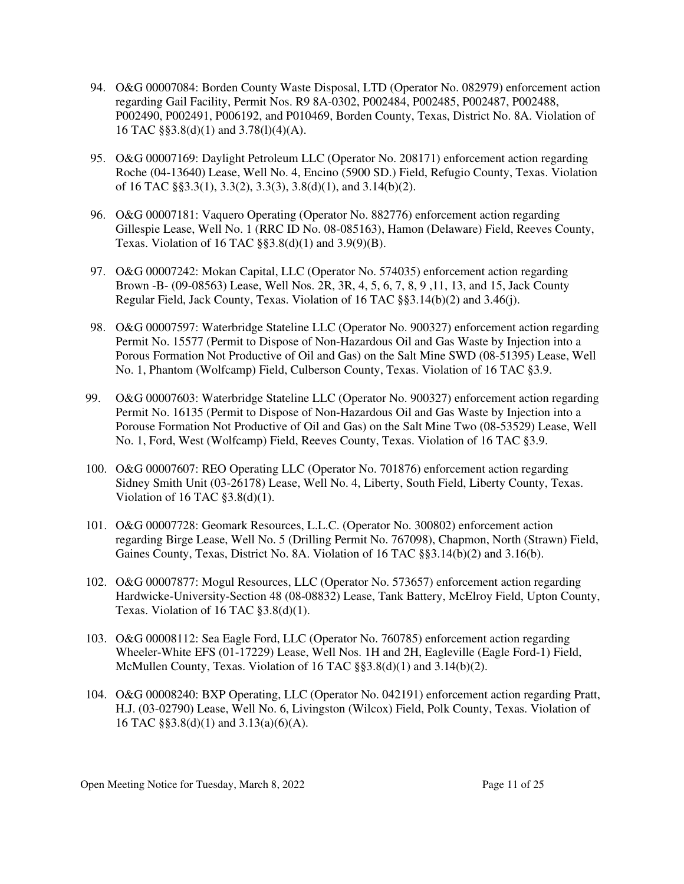- 94. O&G 00007084: Borden County Waste Disposal, LTD (Operator No. 082979) enforcement action regarding Gail Facility, Permit Nos. R9 8A-0302, P002484, P002485, P002487, P002488, P002490, P002491, P006192, and P010469, Borden County, Texas, District No. 8A. Violation of 16 TAC §§3.8(d)(1) and 3.78(l)(4)(A).
- 95. O&G 00007169: Daylight Petroleum LLC (Operator No. 208171) enforcement action regarding Roche (04-13640) Lease, Well No. 4, Encino (5900 SD.) Field, Refugio County, Texas. Violation of 16 TAC §§3.3(1), 3.3(2), 3.3(3), 3.8(d)(1), and 3.14(b)(2).
- 96. O&G 00007181: Vaquero Operating (Operator No. 882776) enforcement action regarding Gillespie Lease, Well No. 1 (RRC ID No. 08-085163), Hamon (Delaware) Field, Reeves County, Texas. Violation of 16 TAC §§3.8(d)(1) and 3.9(9)(B).
- 97. O&G 00007242: Mokan Capital, LLC (Operator No. 574035) enforcement action regarding Brown -B- (09-08563) Lease, Well Nos. 2R, 3R, 4, 5, 6, 7, 8, 9 ,11, 13, and 15, Jack County Regular Field, Jack County, Texas. Violation of 16 TAC §§3.14(b)(2) and 3.46(j).
- 98. O&G 00007597: Waterbridge Stateline LLC (Operator No. 900327) enforcement action regarding Permit No. 15577 (Permit to Dispose of Non-Hazardous Oil and Gas Waste by Injection into a Porous Formation Not Productive of Oil and Gas) on the Salt Mine SWD (08-51395) Lease, Well No. 1, Phantom (Wolfcamp) Field, Culberson County, Texas. Violation of 16 TAC §3.9.
- 99. O&G 00007603: Waterbridge Stateline LLC (Operator No. 900327) enforcement action regarding Permit No. 16135 (Permit to Dispose of Non-Hazardous Oil and Gas Waste by Injection into a Porouse Formation Not Productive of Oil and Gas) on the Salt Mine Two (08-53529) Lease, Well No. 1, Ford, West (Wolfcamp) Field, Reeves County, Texas. Violation of 16 TAC §3.9.
- 100. O&G 00007607: REO Operating LLC (Operator No. 701876) enforcement action regarding Sidney Smith Unit (03-26178) Lease, Well No. 4, Liberty, South Field, Liberty County, Texas. Violation of 16 TAC  $\S 3.8(d)(1)$ .
- 101. O&G 00007728: Geomark Resources, L.L.C. (Operator No. 300802) enforcement action regarding Birge Lease, Well No. 5 (Drilling Permit No. 767098), Chapmon, North (Strawn) Field, Gaines County, Texas, District No. 8A. Violation of 16 TAC §§3.14(b)(2) and 3.16(b).
- 102. O&G 00007877: Mogul Resources, LLC (Operator No. 573657) enforcement action regarding Hardwicke-University-Section 48 (08-08832) Lease, Tank Battery, McElroy Field, Upton County, Texas. Violation of 16 TAC §3.8(d)(1).
- 103. O&G 00008112: Sea Eagle Ford, LLC (Operator No. 760785) enforcement action regarding Wheeler-White EFS (01-17229) Lease, Well Nos. 1H and 2H, Eagleville (Eagle Ford-1) Field, McMullen County, Texas. Violation of 16 TAC §§3.8(d)(1) and 3.14(b)(2).
- 104. O&G 00008240: BXP Operating, LLC (Operator No. 042191) enforcement action regarding Pratt, H.J. (03-02790) Lease, Well No. 6, Livingston (Wilcox) Field, Polk County, Texas. Violation of 16 TAC §§3.8(d)(1) and 3.13(a)(6)(A).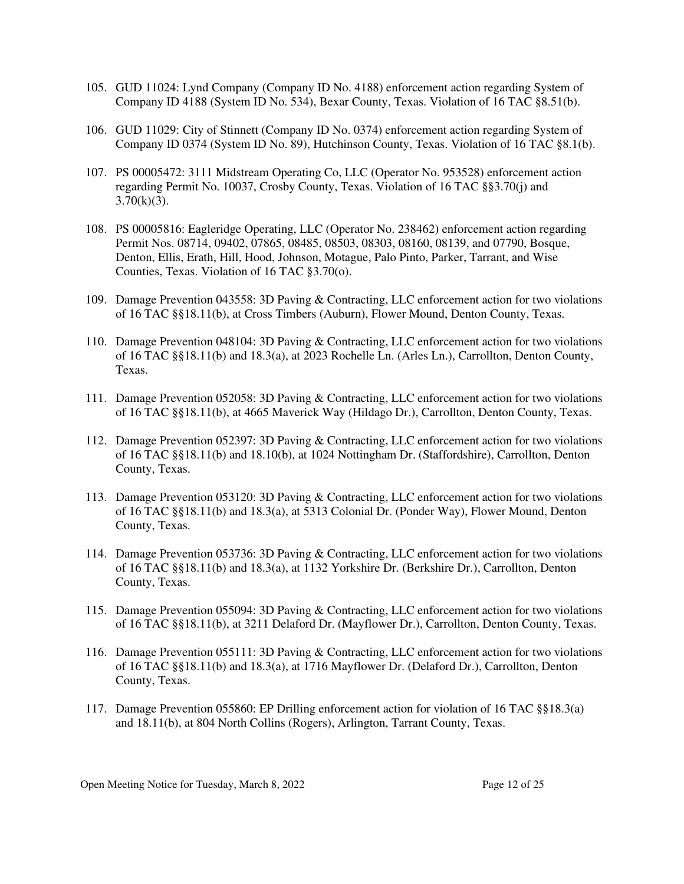- 105. GUD 11024: Lynd Company (Company ID No. 4188) enforcement action regarding System of Company ID 4188 (System ID No. 534), Bexar County, Texas. Violation of 16 TAC §8.51(b).
- 106. GUD 11029: City of Stinnett (Company ID No. 0374) enforcement action regarding System of Company ID 0374 (System ID No. 89), Hutchinson County, Texas. Violation of 16 TAC §8.1(b).
- 107. PS 00005472: 3111 Midstream Operating Co, LLC (Operator No. 953528) enforcement action regarding Permit No. 10037, Crosby County, Texas. Violation of 16 TAC §§3.70(j) and  $3.70(k)(3)$ .
- 108. PS 00005816: Eagleridge Operating, LLC (Operator No. 238462) enforcement action regarding Permit Nos. 08714, 09402, 07865, 08485, 08503, 08303, 08160, 08139, and 07790, Bosque, Denton, Ellis, Erath, Hill, Hood, Johnson, Motague, Palo Pinto, Parker, Tarrant, and Wise Counties, Texas. Violation of 16 TAC §3.70(o).
- 109. Damage Prevention 043558: 3D Paving & Contracting, LLC enforcement action for two violations of 16 TAC §§18.11(b), at Cross Timbers (Auburn), Flower Mound, Denton County, Texas.
- 110. Damage Prevention 048104: 3D Paving & Contracting, LLC enforcement action for two violations of 16 TAC §§18.11(b) and 18.3(a), at 2023 Rochelle Ln. (Arles Ln.), Carrollton, Denton County, Texas.
- 111. Damage Prevention 052058: 3D Paving & Contracting, LLC enforcement action for two violations of 16 TAC §§18.11(b), at 4665 Maverick Way (Hildago Dr.), Carrollton, Denton County, Texas.
- 112. Damage Prevention 052397: 3D Paving & Contracting, LLC enforcement action for two violations of 16 TAC §§18.11(b) and 18.10(b), at 1024 Nottingham Dr. (Staffordshire), Carrollton, Denton County, Texas.
- 113. Damage Prevention 053120: 3D Paving & Contracting, LLC enforcement action for two violations of 16 TAC §§18.11(b) and 18.3(a), at 5313 Colonial Dr. (Ponder Way), Flower Mound, Denton County, Texas.
- 114. Damage Prevention 053736: 3D Paving & Contracting, LLC enforcement action for two violations of 16 TAC §§18.11(b) and 18.3(a), at 1132 Yorkshire Dr. (Berkshire Dr.), Carrollton, Denton County, Texas.
- 115. Damage Prevention 055094: 3D Paving & Contracting, LLC enforcement action for two violations of 16 TAC §§18.11(b), at 3211 Delaford Dr. (Mayflower Dr.), Carrollton, Denton County, Texas.
- 116. Damage Prevention 055111: 3D Paving & Contracting, LLC enforcement action for two violations of 16 TAC §§18.11(b) and 18.3(a), at 1716 Mayflower Dr. (Delaford Dr.), Carrollton, Denton County, Texas.
- 117. Damage Prevention 055860: EP Drilling enforcement action for violation of 16 TAC §§18.3(a) and 18.11(b), at 804 North Collins (Rogers), Arlington, Tarrant County, Texas.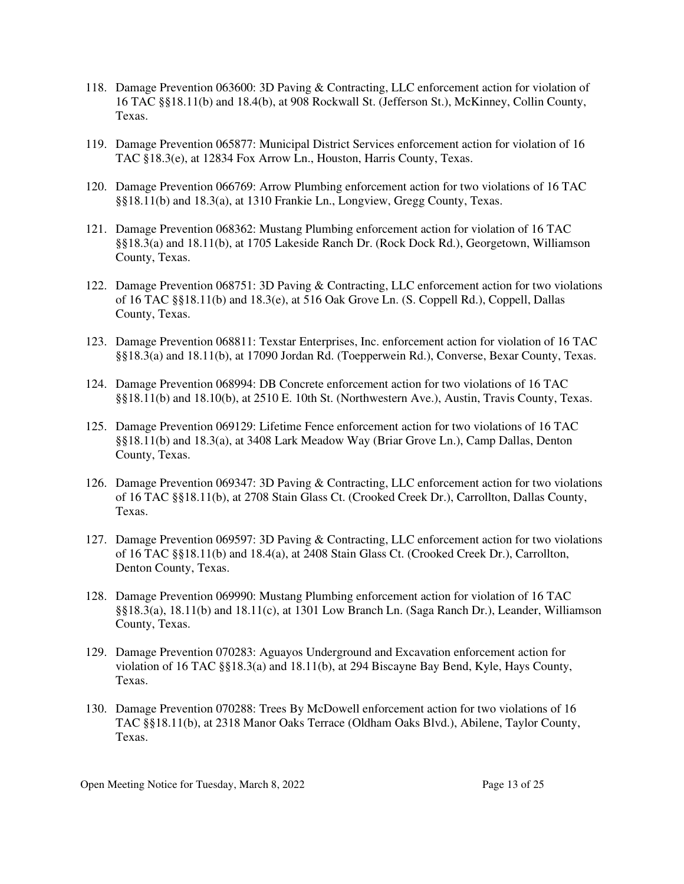- 118. Damage Prevention 063600: 3D Paving & Contracting, LLC enforcement action for violation of 16 TAC §§18.11(b) and 18.4(b), at 908 Rockwall St. (Jefferson St.), McKinney, Collin County, Texas.
- 119. Damage Prevention 065877: Municipal District Services enforcement action for violation of 16 TAC §18.3(e), at 12834 Fox Arrow Ln., Houston, Harris County, Texas.
- 120. Damage Prevention 066769: Arrow Plumbing enforcement action for two violations of 16 TAC §§18.11(b) and 18.3(a), at 1310 Frankie Ln., Longview, Gregg County, Texas.
- 121. Damage Prevention 068362: Mustang Plumbing enforcement action for violation of 16 TAC §§18.3(a) and 18.11(b), at 1705 Lakeside Ranch Dr. (Rock Dock Rd.), Georgetown, Williamson County, Texas.
- 122. Damage Prevention 068751: 3D Paving & Contracting, LLC enforcement action for two violations of 16 TAC §§18.11(b) and 18.3(e), at 516 Oak Grove Ln. (S. Coppell Rd.), Coppell, Dallas County, Texas.
- 123. Damage Prevention 068811: Texstar Enterprises, Inc. enforcement action for violation of 16 TAC §§18.3(a) and 18.11(b), at 17090 Jordan Rd. (Toepperwein Rd.), Converse, Bexar County, Texas.
- 124. Damage Prevention 068994: DB Concrete enforcement action for two violations of 16 TAC §§18.11(b) and 18.10(b), at 2510 E. 10th St. (Northwestern Ave.), Austin, Travis County, Texas.
- 125. Damage Prevention 069129: Lifetime Fence enforcement action for two violations of 16 TAC §§18.11(b) and 18.3(a), at 3408 Lark Meadow Way (Briar Grove Ln.), Camp Dallas, Denton County, Texas.
- 126. Damage Prevention 069347: 3D Paving & Contracting, LLC enforcement action for two violations of 16 TAC §§18.11(b), at 2708 Stain Glass Ct. (Crooked Creek Dr.), Carrollton, Dallas County, Texas.
- 127. Damage Prevention 069597: 3D Paving & Contracting, LLC enforcement action for two violations of 16 TAC §§18.11(b) and 18.4(a), at 2408 Stain Glass Ct. (Crooked Creek Dr.), Carrollton, Denton County, Texas.
- 128. Damage Prevention 069990: Mustang Plumbing enforcement action for violation of 16 TAC §§18.3(a), 18.11(b) and 18.11(c), at 1301 Low Branch Ln. (Saga Ranch Dr.), Leander, Williamson County, Texas.
- 129. Damage Prevention 070283: Aguayos Underground and Excavation enforcement action for violation of 16 TAC §§18.3(a) and 18.11(b), at 294 Biscayne Bay Bend, Kyle, Hays County, Texas.
- 130. Damage Prevention 070288: Trees By McDowell enforcement action for two violations of 16 TAC §§18.11(b), at 2318 Manor Oaks Terrace (Oldham Oaks Blvd.), Abilene, Taylor County, Texas.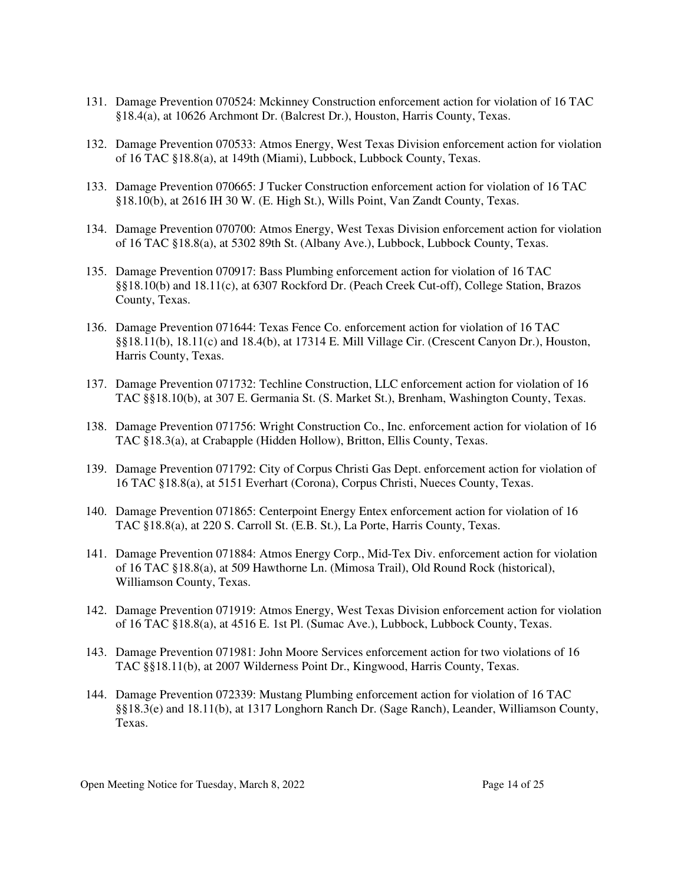- 131. Damage Prevention 070524: Mckinney Construction enforcement action for violation of 16 TAC §18.4(a), at 10626 Archmont Dr. (Balcrest Dr.), Houston, Harris County, Texas.
- 132. Damage Prevention 070533: Atmos Energy, West Texas Division enforcement action for violation of 16 TAC §18.8(a), at 149th (Miami), Lubbock, Lubbock County, Texas.
- 133. Damage Prevention 070665: J Tucker Construction enforcement action for violation of 16 TAC §18.10(b), at 2616 IH 30 W. (E. High St.), Wills Point, Van Zandt County, Texas.
- 134. Damage Prevention 070700: Atmos Energy, West Texas Division enforcement action for violation of 16 TAC §18.8(a), at 5302 89th St. (Albany Ave.), Lubbock, Lubbock County, Texas.
- 135. Damage Prevention 070917: Bass Plumbing enforcement action for violation of 16 TAC §§18.10(b) and 18.11(c), at 6307 Rockford Dr. (Peach Creek Cut-off), College Station, Brazos County, Texas.
- 136. Damage Prevention 071644: Texas Fence Co. enforcement action for violation of 16 TAC §§18.11(b), 18.11(c) and 18.4(b), at 17314 E. Mill Village Cir. (Crescent Canyon Dr.), Houston, Harris County, Texas.
- 137. Damage Prevention 071732: Techline Construction, LLC enforcement action for violation of 16 TAC §§18.10(b), at 307 E. Germania St. (S. Market St.), Brenham, Washington County, Texas.
- 138. Damage Prevention 071756: Wright Construction Co., Inc. enforcement action for violation of 16 TAC §18.3(a), at Crabapple (Hidden Hollow), Britton, Ellis County, Texas.
- 139. Damage Prevention 071792: City of Corpus Christi Gas Dept. enforcement action for violation of 16 TAC §18.8(a), at 5151 Everhart (Corona), Corpus Christi, Nueces County, Texas.
- 140. Damage Prevention 071865: Centerpoint Energy Entex enforcement action for violation of 16 TAC §18.8(a), at 220 S. Carroll St. (E.B. St.), La Porte, Harris County, Texas.
- 141. Damage Prevention 071884: Atmos Energy Corp., Mid-Tex Div. enforcement action for violation of 16 TAC §18.8(a), at 509 Hawthorne Ln. (Mimosa Trail), Old Round Rock (historical), Williamson County, Texas.
- 142. Damage Prevention 071919: Atmos Energy, West Texas Division enforcement action for violation of 16 TAC §18.8(a), at 4516 E. 1st Pl. (Sumac Ave.), Lubbock, Lubbock County, Texas.
- 143. Damage Prevention 071981: John Moore Services enforcement action for two violations of 16 TAC §§18.11(b), at 2007 Wilderness Point Dr., Kingwood, Harris County, Texas.
- 144. Damage Prevention 072339: Mustang Plumbing enforcement action for violation of 16 TAC §§18.3(e) and 18.11(b), at 1317 Longhorn Ranch Dr. (Sage Ranch), Leander, Williamson County, Texas.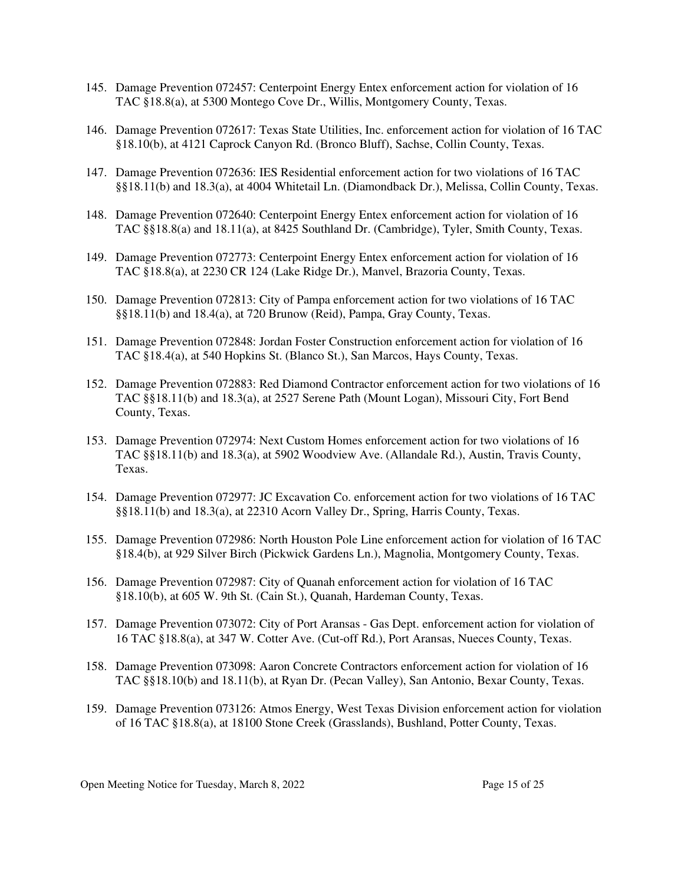- 145. Damage Prevention 072457: Centerpoint Energy Entex enforcement action for violation of 16 TAC §18.8(a), at 5300 Montego Cove Dr., Willis, Montgomery County, Texas.
- 146. Damage Prevention 072617: Texas State Utilities, Inc. enforcement action for violation of 16 TAC §18.10(b), at 4121 Caprock Canyon Rd. (Bronco Bluff), Sachse, Collin County, Texas.
- 147. Damage Prevention 072636: IES Residential enforcement action for two violations of 16 TAC §§18.11(b) and 18.3(a), at 4004 Whitetail Ln. (Diamondback Dr.), Melissa, Collin County, Texas.
- 148. Damage Prevention 072640: Centerpoint Energy Entex enforcement action for violation of 16 TAC §§18.8(a) and 18.11(a), at 8425 Southland Dr. (Cambridge), Tyler, Smith County, Texas.
- 149. Damage Prevention 072773: Centerpoint Energy Entex enforcement action for violation of 16 TAC §18.8(a), at 2230 CR 124 (Lake Ridge Dr.), Manvel, Brazoria County, Texas.
- 150. Damage Prevention 072813: City of Pampa enforcement action for two violations of 16 TAC §§18.11(b) and 18.4(a), at 720 Brunow (Reid), Pampa, Gray County, Texas.
- 151. Damage Prevention 072848: Jordan Foster Construction enforcement action for violation of 16 TAC §18.4(a), at 540 Hopkins St. (Blanco St.), San Marcos, Hays County, Texas.
- 152. Damage Prevention 072883: Red Diamond Contractor enforcement action for two violations of 16 TAC §§18.11(b) and 18.3(a), at 2527 Serene Path (Mount Logan), Missouri City, Fort Bend County, Texas.
- 153. Damage Prevention 072974: Next Custom Homes enforcement action for two violations of 16 TAC §§18.11(b) and 18.3(a), at 5902 Woodview Ave. (Allandale Rd.), Austin, Travis County, Texas.
- 154. Damage Prevention 072977: JC Excavation Co. enforcement action for two violations of 16 TAC §§18.11(b) and 18.3(a), at 22310 Acorn Valley Dr., Spring, Harris County, Texas.
- 155. Damage Prevention 072986: North Houston Pole Line enforcement action for violation of 16 TAC §18.4(b), at 929 Silver Birch (Pickwick Gardens Ln.), Magnolia, Montgomery County, Texas.
- 156. Damage Prevention 072987: City of Quanah enforcement action for violation of 16 TAC §18.10(b), at 605 W. 9th St. (Cain St.), Quanah, Hardeman County, Texas.
- 157. Damage Prevention 073072: City of Port Aransas Gas Dept. enforcement action for violation of 16 TAC §18.8(a), at 347 W. Cotter Ave. (Cut-off Rd.), Port Aransas, Nueces County, Texas.
- 158. Damage Prevention 073098: Aaron Concrete Contractors enforcement action for violation of 16 TAC §§18.10(b) and 18.11(b), at Ryan Dr. (Pecan Valley), San Antonio, Bexar County, Texas.
- 159. Damage Prevention 073126: Atmos Energy, West Texas Division enforcement action for violation of 16 TAC §18.8(a), at 18100 Stone Creek (Grasslands), Bushland, Potter County, Texas.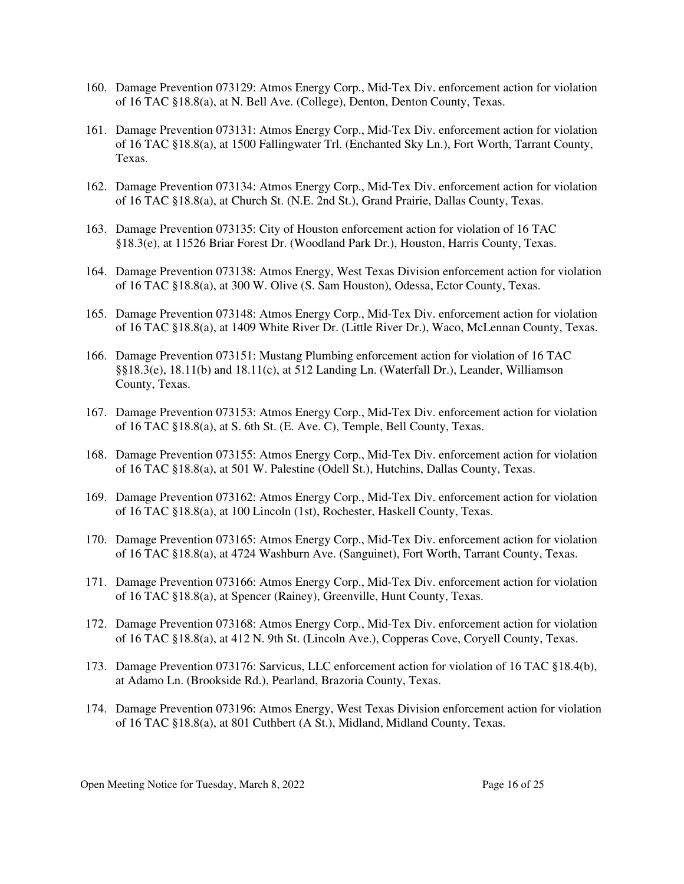- 160. Damage Prevention 073129: Atmos Energy Corp., Mid-Tex Div. enforcement action for violation of 16 TAC §18.8(a), at N. Bell Ave. (College), Denton, Denton County, Texas.
- 161. Damage Prevention 073131: Atmos Energy Corp., Mid-Tex Div. enforcement action for violation of 16 TAC §18.8(a), at 1500 Fallingwater Trl. (Enchanted Sky Ln.), Fort Worth, Tarrant County, Texas.
- 162. Damage Prevention 073134: Atmos Energy Corp., Mid-Tex Div. enforcement action for violation of 16 TAC §18.8(a), at Church St. (N.E. 2nd St.), Grand Prairie, Dallas County, Texas.
- 163. Damage Prevention 073135: City of Houston enforcement action for violation of 16 TAC §18.3(e), at 11526 Briar Forest Dr. (Woodland Park Dr.), Houston, Harris County, Texas.
- 164. Damage Prevention 073138: Atmos Energy, West Texas Division enforcement action for violation of 16 TAC §18.8(a), at 300 W. Olive (S. Sam Houston), Odessa, Ector County, Texas.
- 165. Damage Prevention 073148: Atmos Energy Corp., Mid-Tex Div. enforcement action for violation of 16 TAC §18.8(a), at 1409 White River Dr. (Little River Dr.), Waco, McLennan County, Texas.
- 166. Damage Prevention 073151: Mustang Plumbing enforcement action for violation of 16 TAC §§18.3(e), 18.11(b) and 18.11(c), at 512 Landing Ln. (Waterfall Dr.), Leander, Williamson County, Texas.
- 167. Damage Prevention 073153: Atmos Energy Corp., Mid-Tex Div. enforcement action for violation of 16 TAC §18.8(a), at S. 6th St. (E. Ave. C), Temple, Bell County, Texas.
- 168. Damage Prevention 073155: Atmos Energy Corp., Mid-Tex Div. enforcement action for violation of 16 TAC §18.8(a), at 501 W. Palestine (Odell St.), Hutchins, Dallas County, Texas.
- 169. Damage Prevention 073162: Atmos Energy Corp., Mid-Tex Div. enforcement action for violation of 16 TAC §18.8(a), at 100 Lincoln (1st), Rochester, Haskell County, Texas.
- 170. Damage Prevention 073165: Atmos Energy Corp., Mid-Tex Div. enforcement action for violation of 16 TAC §18.8(a), at 4724 Washburn Ave. (Sanguinet), Fort Worth, Tarrant County, Texas.
- 171. Damage Prevention 073166: Atmos Energy Corp., Mid-Tex Div. enforcement action for violation of 16 TAC §18.8(a), at Spencer (Rainey), Greenville, Hunt County, Texas.
- 172. Damage Prevention 073168: Atmos Energy Corp., Mid-Tex Div. enforcement action for violation of 16 TAC §18.8(a), at 412 N. 9th St. (Lincoln Ave.), Copperas Cove, Coryell County, Texas.
- 173. Damage Prevention 073176: Sarvicus, LLC enforcement action for violation of 16 TAC §18.4(b), at Adamo Ln. (Brookside Rd.), Pearland, Brazoria County, Texas.
- 174. Damage Prevention 073196: Atmos Energy, West Texas Division enforcement action for violation of 16 TAC §18.8(a), at 801 Cuthbert (A St.), Midland, Midland County, Texas.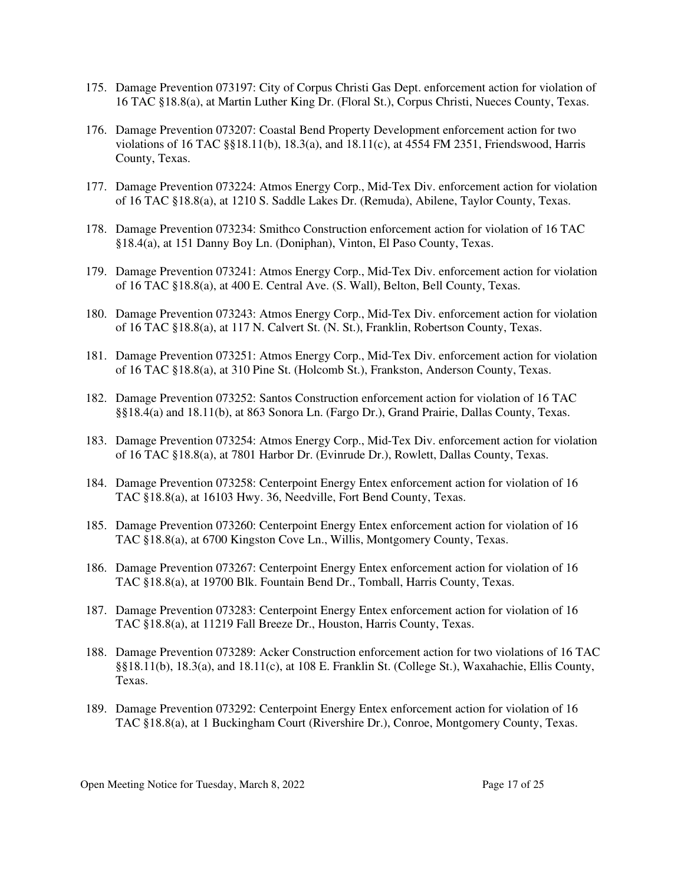- 175. Damage Prevention 073197: City of Corpus Christi Gas Dept. enforcement action for violation of 16 TAC §18.8(a), at Martin Luther King Dr. (Floral St.), Corpus Christi, Nueces County, Texas.
- 176. Damage Prevention 073207: Coastal Bend Property Development enforcement action for two violations of 16 TAC §§18.11(b), 18.3(a), and 18.11(c), at 4554 FM 2351, Friendswood, Harris County, Texas.
- 177. Damage Prevention 073224: Atmos Energy Corp., Mid-Tex Div. enforcement action for violation of 16 TAC §18.8(a), at 1210 S. Saddle Lakes Dr. (Remuda), Abilene, Taylor County, Texas.
- 178. Damage Prevention 073234: Smithco Construction enforcement action for violation of 16 TAC §18.4(a), at 151 Danny Boy Ln. (Doniphan), Vinton, El Paso County, Texas.
- 179. Damage Prevention 073241: Atmos Energy Corp., Mid-Tex Div. enforcement action for violation of 16 TAC §18.8(a), at 400 E. Central Ave. (S. Wall), Belton, Bell County, Texas.
- 180. Damage Prevention 073243: Atmos Energy Corp., Mid-Tex Div. enforcement action for violation of 16 TAC §18.8(a), at 117 N. Calvert St. (N. St.), Franklin, Robertson County, Texas.
- 181. Damage Prevention 073251: Atmos Energy Corp., Mid-Tex Div. enforcement action for violation of 16 TAC §18.8(a), at 310 Pine St. (Holcomb St.), Frankston, Anderson County, Texas.
- 182. Damage Prevention 073252: Santos Construction enforcement action for violation of 16 TAC §§18.4(a) and 18.11(b), at 863 Sonora Ln. (Fargo Dr.), Grand Prairie, Dallas County, Texas.
- 183. Damage Prevention 073254: Atmos Energy Corp., Mid-Tex Div. enforcement action for violation of 16 TAC §18.8(a), at 7801 Harbor Dr. (Evinrude Dr.), Rowlett, Dallas County, Texas.
- 184. Damage Prevention 073258: Centerpoint Energy Entex enforcement action for violation of 16 TAC §18.8(a), at 16103 Hwy. 36, Needville, Fort Bend County, Texas.
- 185. Damage Prevention 073260: Centerpoint Energy Entex enforcement action for violation of 16 TAC §18.8(a), at 6700 Kingston Cove Ln., Willis, Montgomery County, Texas.
- 186. Damage Prevention 073267: Centerpoint Energy Entex enforcement action for violation of 16 TAC §18.8(a), at 19700 Blk. Fountain Bend Dr., Tomball, Harris County, Texas.
- 187. Damage Prevention 073283: Centerpoint Energy Entex enforcement action for violation of 16 TAC §18.8(a), at 11219 Fall Breeze Dr., Houston, Harris County, Texas.
- 188. Damage Prevention 073289: Acker Construction enforcement action for two violations of 16 TAC §§18.11(b), 18.3(a), and 18.11(c), at 108 E. Franklin St. (College St.), Waxahachie, Ellis County, Texas.
- 189. Damage Prevention 073292: Centerpoint Energy Entex enforcement action for violation of 16 TAC §18.8(a), at 1 Buckingham Court (Rivershire Dr.), Conroe, Montgomery County, Texas.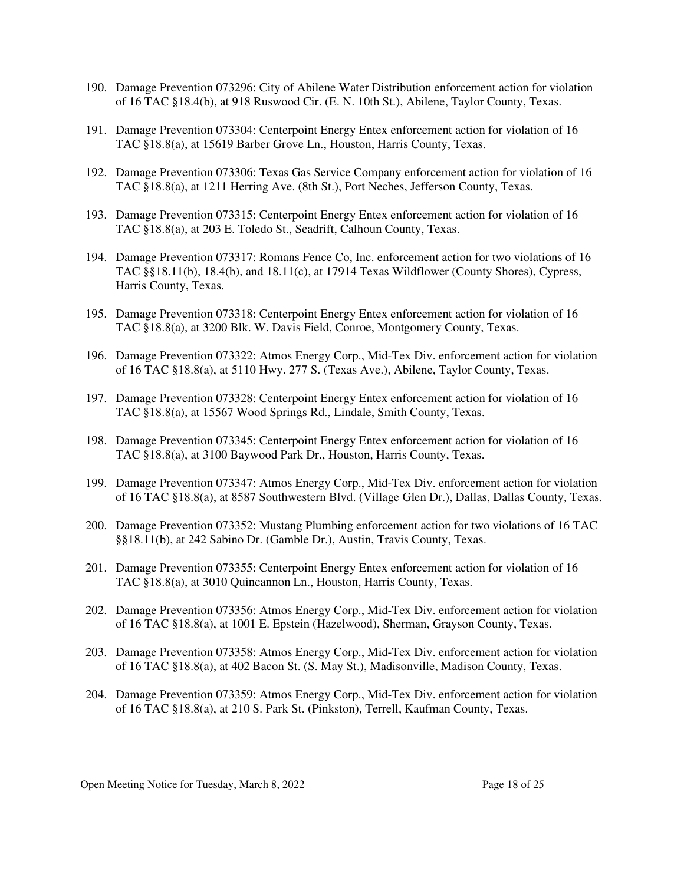- 190. Damage Prevention 073296: City of Abilene Water Distribution enforcement action for violation of 16 TAC §18.4(b), at 918 Ruswood Cir. (E. N. 10th St.), Abilene, Taylor County, Texas.
- 191. Damage Prevention 073304: Centerpoint Energy Entex enforcement action for violation of 16 TAC §18.8(a), at 15619 Barber Grove Ln., Houston, Harris County, Texas.
- 192. Damage Prevention 073306: Texas Gas Service Company enforcement action for violation of 16 TAC §18.8(a), at 1211 Herring Ave. (8th St.), Port Neches, Jefferson County, Texas.
- 193. Damage Prevention 073315: Centerpoint Energy Entex enforcement action for violation of 16 TAC §18.8(a), at 203 E. Toledo St., Seadrift, Calhoun County, Texas.
- 194. Damage Prevention 073317: Romans Fence Co, Inc. enforcement action for two violations of 16 TAC §§18.11(b), 18.4(b), and 18.11(c), at 17914 Texas Wildflower (County Shores), Cypress, Harris County, Texas.
- 195. Damage Prevention 073318: Centerpoint Energy Entex enforcement action for violation of 16 TAC §18.8(a), at 3200 Blk. W. Davis Field, Conroe, Montgomery County, Texas.
- 196. Damage Prevention 073322: Atmos Energy Corp., Mid-Tex Div. enforcement action for violation of 16 TAC §18.8(a), at 5110 Hwy. 277 S. (Texas Ave.), Abilene, Taylor County, Texas.
- 197. Damage Prevention 073328: Centerpoint Energy Entex enforcement action for violation of 16 TAC §18.8(a), at 15567 Wood Springs Rd., Lindale, Smith County, Texas.
- 198. Damage Prevention 073345: Centerpoint Energy Entex enforcement action for violation of 16 TAC §18.8(a), at 3100 Baywood Park Dr., Houston, Harris County, Texas.
- 199. Damage Prevention 073347: Atmos Energy Corp., Mid-Tex Div. enforcement action for violation of 16 TAC §18.8(a), at 8587 Southwestern Blvd. (Village Glen Dr.), Dallas, Dallas County, Texas.
- 200. Damage Prevention 073352: Mustang Plumbing enforcement action for two violations of 16 TAC §§18.11(b), at 242 Sabino Dr. (Gamble Dr.), Austin, Travis County, Texas.
- 201. Damage Prevention 073355: Centerpoint Energy Entex enforcement action for violation of 16 TAC §18.8(a), at 3010 Quincannon Ln., Houston, Harris County, Texas.
- 202. Damage Prevention 073356: Atmos Energy Corp., Mid-Tex Div. enforcement action for violation of 16 TAC §18.8(a), at 1001 E. Epstein (Hazelwood), Sherman, Grayson County, Texas.
- 203. Damage Prevention 073358: Atmos Energy Corp., Mid-Tex Div. enforcement action for violation of 16 TAC §18.8(a), at 402 Bacon St. (S. May St.), Madisonville, Madison County, Texas.
- 204. Damage Prevention 073359: Atmos Energy Corp., Mid-Tex Div. enforcement action for violation of 16 TAC §18.8(a), at 210 S. Park St. (Pinkston), Terrell, Kaufman County, Texas.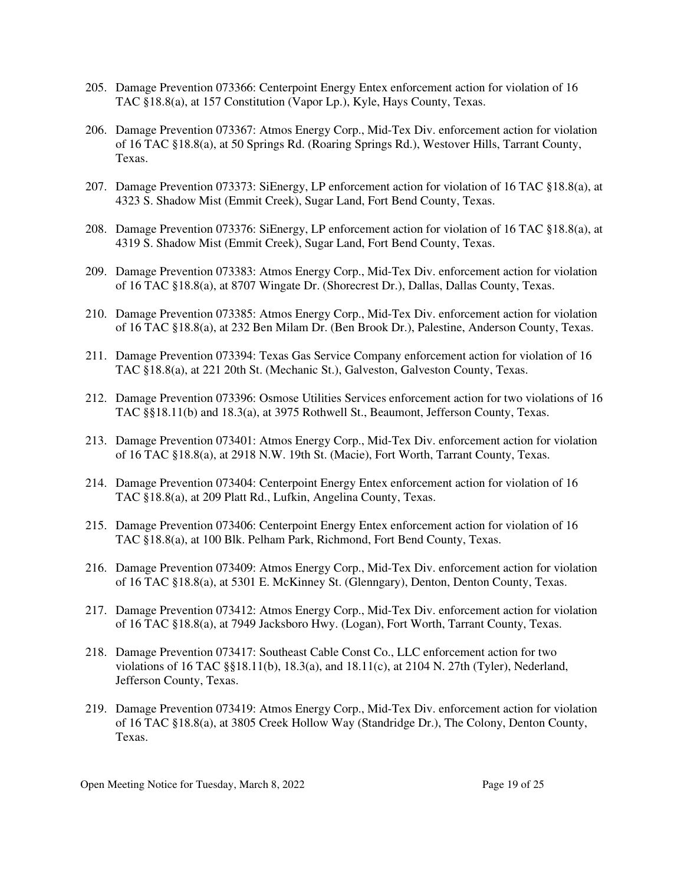- 205. Damage Prevention 073366: Centerpoint Energy Entex enforcement action for violation of 16 TAC §18.8(a), at 157 Constitution (Vapor Lp.), Kyle, Hays County, Texas.
- 206. Damage Prevention 073367: Atmos Energy Corp., Mid-Tex Div. enforcement action for violation of 16 TAC §18.8(a), at 50 Springs Rd. (Roaring Springs Rd.), Westover Hills, Tarrant County, Texas.
- 207. Damage Prevention 073373: SiEnergy, LP enforcement action for violation of 16 TAC §18.8(a), at 4323 S. Shadow Mist (Emmit Creek), Sugar Land, Fort Bend County, Texas.
- 208. Damage Prevention 073376: SiEnergy, LP enforcement action for violation of 16 TAC §18.8(a), at 4319 S. Shadow Mist (Emmit Creek), Sugar Land, Fort Bend County, Texas.
- 209. Damage Prevention 073383: Atmos Energy Corp., Mid-Tex Div. enforcement action for violation of 16 TAC §18.8(a), at 8707 Wingate Dr. (Shorecrest Dr.), Dallas, Dallas County, Texas.
- 210. Damage Prevention 073385: Atmos Energy Corp., Mid-Tex Div. enforcement action for violation of 16 TAC §18.8(a), at 232 Ben Milam Dr. (Ben Brook Dr.), Palestine, Anderson County, Texas.
- 211. Damage Prevention 073394: Texas Gas Service Company enforcement action for violation of 16 TAC §18.8(a), at 221 20th St. (Mechanic St.), Galveston, Galveston County, Texas.
- 212. Damage Prevention 073396: Osmose Utilities Services enforcement action for two violations of 16 TAC §§18.11(b) and 18.3(a), at 3975 Rothwell St., Beaumont, Jefferson County, Texas.
- 213. Damage Prevention 073401: Atmos Energy Corp., Mid-Tex Div. enforcement action for violation of 16 TAC §18.8(a), at 2918 N.W. 19th St. (Macie), Fort Worth, Tarrant County, Texas.
- 214. Damage Prevention 073404: Centerpoint Energy Entex enforcement action for violation of 16 TAC §18.8(a), at 209 Platt Rd., Lufkin, Angelina County, Texas.
- 215. Damage Prevention 073406: Centerpoint Energy Entex enforcement action for violation of 16 TAC §18.8(a), at 100 Blk. Pelham Park, Richmond, Fort Bend County, Texas.
- 216. Damage Prevention 073409: Atmos Energy Corp., Mid-Tex Div. enforcement action for violation of 16 TAC §18.8(a), at 5301 E. McKinney St. (Glenngary), Denton, Denton County, Texas.
- 217. Damage Prevention 073412: Atmos Energy Corp., Mid-Tex Div. enforcement action for violation of 16 TAC §18.8(a), at 7949 Jacksboro Hwy. (Logan), Fort Worth, Tarrant County, Texas.
- 218. Damage Prevention 073417: Southeast Cable Const Co., LLC enforcement action for two violations of 16 TAC §§18.11(b), 18.3(a), and 18.11(c), at 2104 N. 27th (Tyler), Nederland, Jefferson County, Texas.
- 219. Damage Prevention 073419: Atmos Energy Corp., Mid-Tex Div. enforcement action for violation of 16 TAC §18.8(a), at 3805 Creek Hollow Way (Standridge Dr.), The Colony, Denton County, Texas.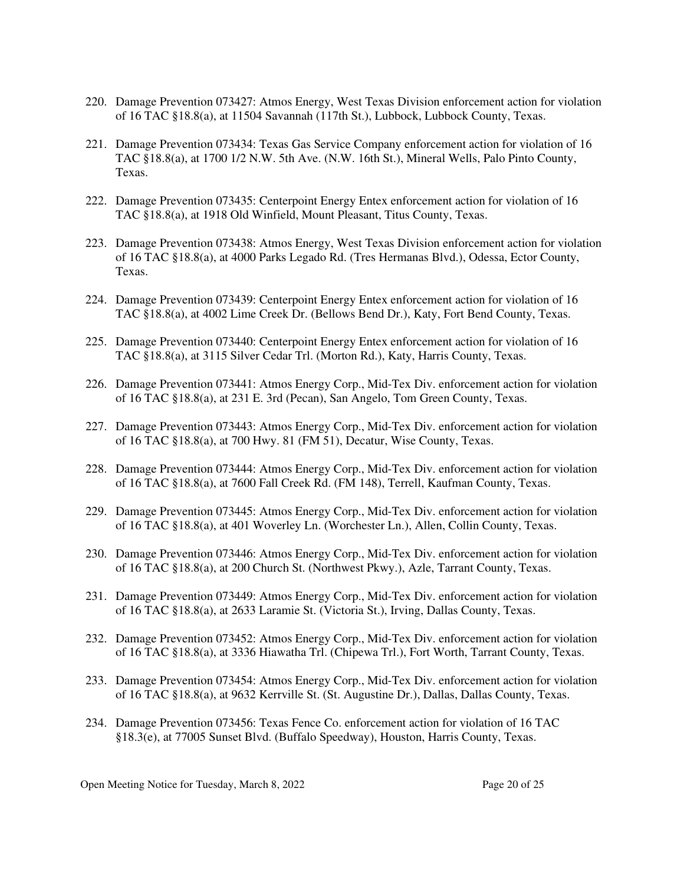- 220. Damage Prevention 073427: Atmos Energy, West Texas Division enforcement action for violation of 16 TAC §18.8(a), at 11504 Savannah (117th St.), Lubbock, Lubbock County, Texas.
- 221. Damage Prevention 073434: Texas Gas Service Company enforcement action for violation of 16 TAC §18.8(a), at 1700 1/2 N.W. 5th Ave. (N.W. 16th St.), Mineral Wells, Palo Pinto County, Texas.
- 222. Damage Prevention 073435: Centerpoint Energy Entex enforcement action for violation of 16 TAC §18.8(a), at 1918 Old Winfield, Mount Pleasant, Titus County, Texas.
- 223. Damage Prevention 073438: Atmos Energy, West Texas Division enforcement action for violation of 16 TAC §18.8(a), at 4000 Parks Legado Rd. (Tres Hermanas Blvd.), Odessa, Ector County, Texas.
- 224. Damage Prevention 073439: Centerpoint Energy Entex enforcement action for violation of 16 TAC §18.8(a), at 4002 Lime Creek Dr. (Bellows Bend Dr.), Katy, Fort Bend County, Texas.
- 225. Damage Prevention 073440: Centerpoint Energy Entex enforcement action for violation of 16 TAC §18.8(a), at 3115 Silver Cedar Trl. (Morton Rd.), Katy, Harris County, Texas.
- 226. Damage Prevention 073441: Atmos Energy Corp., Mid-Tex Div. enforcement action for violation of 16 TAC §18.8(a), at 231 E. 3rd (Pecan), San Angelo, Tom Green County, Texas.
- 227. Damage Prevention 073443: Atmos Energy Corp., Mid-Tex Div. enforcement action for violation of 16 TAC §18.8(a), at 700 Hwy. 81 (FM 51), Decatur, Wise County, Texas.
- 228. Damage Prevention 073444: Atmos Energy Corp., Mid-Tex Div. enforcement action for violation of 16 TAC §18.8(a), at 7600 Fall Creek Rd. (FM 148), Terrell, Kaufman County, Texas.
- 229. Damage Prevention 073445: Atmos Energy Corp., Mid-Tex Div. enforcement action for violation of 16 TAC §18.8(a), at 401 Woverley Ln. (Worchester Ln.), Allen, Collin County, Texas.
- 230. Damage Prevention 073446: Atmos Energy Corp., Mid-Tex Div. enforcement action for violation of 16 TAC §18.8(a), at 200 Church St. (Northwest Pkwy.), Azle, Tarrant County, Texas.
- 231. Damage Prevention 073449: Atmos Energy Corp., Mid-Tex Div. enforcement action for violation of 16 TAC §18.8(a), at 2633 Laramie St. (Victoria St.), Irving, Dallas County, Texas.
- 232. Damage Prevention 073452: Atmos Energy Corp., Mid-Tex Div. enforcement action for violation of 16 TAC §18.8(a), at 3336 Hiawatha Trl. (Chipewa Trl.), Fort Worth, Tarrant County, Texas.
- 233. Damage Prevention 073454: Atmos Energy Corp., Mid-Tex Div. enforcement action for violation of 16 TAC §18.8(a), at 9632 Kerrville St. (St. Augustine Dr.), Dallas, Dallas County, Texas.
- 234. Damage Prevention 073456: Texas Fence Co. enforcement action for violation of 16 TAC §18.3(e), at 77005 Sunset Blvd. (Buffalo Speedway), Houston, Harris County, Texas.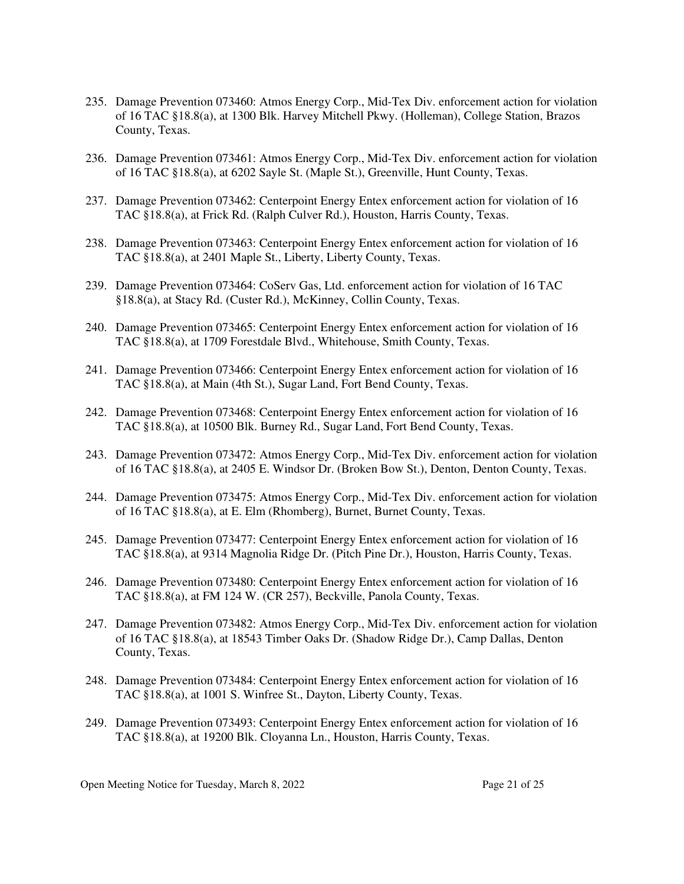- 235. Damage Prevention 073460: Atmos Energy Corp., Mid-Tex Div. enforcement action for violation of 16 TAC §18.8(a), at 1300 Blk. Harvey Mitchell Pkwy. (Holleman), College Station, Brazos County, Texas.
- 236. Damage Prevention 073461: Atmos Energy Corp., Mid-Tex Div. enforcement action for violation of 16 TAC §18.8(a), at 6202 Sayle St. (Maple St.), Greenville, Hunt County, Texas.
- 237. Damage Prevention 073462: Centerpoint Energy Entex enforcement action for violation of 16 TAC §18.8(a), at Frick Rd. (Ralph Culver Rd.), Houston, Harris County, Texas.
- 238. Damage Prevention 073463: Centerpoint Energy Entex enforcement action for violation of 16 TAC §18.8(a), at 2401 Maple St., Liberty, Liberty County, Texas.
- 239. Damage Prevention 073464: CoServ Gas, Ltd. enforcement action for violation of 16 TAC §18.8(a), at Stacy Rd. (Custer Rd.), McKinney, Collin County, Texas.
- 240. Damage Prevention 073465: Centerpoint Energy Entex enforcement action for violation of 16 TAC §18.8(a), at 1709 Forestdale Blvd., Whitehouse, Smith County, Texas.
- 241. Damage Prevention 073466: Centerpoint Energy Entex enforcement action for violation of 16 TAC §18.8(a), at Main (4th St.), Sugar Land, Fort Bend County, Texas.
- 242. Damage Prevention 073468: Centerpoint Energy Entex enforcement action for violation of 16 TAC §18.8(a), at 10500 Blk. Burney Rd., Sugar Land, Fort Bend County, Texas.
- 243. Damage Prevention 073472: Atmos Energy Corp., Mid-Tex Div. enforcement action for violation of 16 TAC §18.8(a), at 2405 E. Windsor Dr. (Broken Bow St.), Denton, Denton County, Texas.
- 244. Damage Prevention 073475: Atmos Energy Corp., Mid-Tex Div. enforcement action for violation of 16 TAC §18.8(a), at E. Elm (Rhomberg), Burnet, Burnet County, Texas.
- 245. Damage Prevention 073477: Centerpoint Energy Entex enforcement action for violation of 16 TAC §18.8(a), at 9314 Magnolia Ridge Dr. (Pitch Pine Dr.), Houston, Harris County, Texas.
- 246. Damage Prevention 073480: Centerpoint Energy Entex enforcement action for violation of 16 TAC §18.8(a), at FM 124 W. (CR 257), Beckville, Panola County, Texas.
- 247. Damage Prevention 073482: Atmos Energy Corp., Mid-Tex Div. enforcement action for violation of 16 TAC §18.8(a), at 18543 Timber Oaks Dr. (Shadow Ridge Dr.), Camp Dallas, Denton County, Texas.
- 248. Damage Prevention 073484: Centerpoint Energy Entex enforcement action for violation of 16 TAC §18.8(a), at 1001 S. Winfree St., Dayton, Liberty County, Texas.
- 249. Damage Prevention 073493: Centerpoint Energy Entex enforcement action for violation of 16 TAC §18.8(a), at 19200 Blk. Cloyanna Ln., Houston, Harris County, Texas.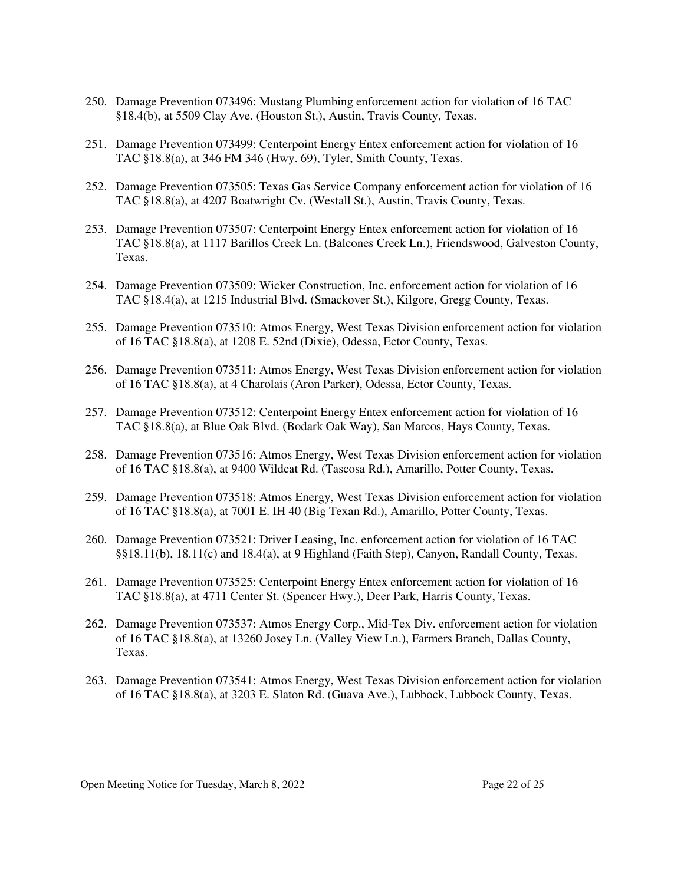- 250. Damage Prevention 073496: Mustang Plumbing enforcement action for violation of 16 TAC §18.4(b), at 5509 Clay Ave. (Houston St.), Austin, Travis County, Texas.
- 251. Damage Prevention 073499: Centerpoint Energy Entex enforcement action for violation of 16 TAC §18.8(a), at 346 FM 346 (Hwy. 69), Tyler, Smith County, Texas.
- 252. Damage Prevention 073505: Texas Gas Service Company enforcement action for violation of 16 TAC §18.8(a), at 4207 Boatwright Cv. (Westall St.), Austin, Travis County, Texas.
- 253. Damage Prevention 073507: Centerpoint Energy Entex enforcement action for violation of 16 TAC §18.8(a), at 1117 Barillos Creek Ln. (Balcones Creek Ln.), Friendswood, Galveston County, Texas.
- 254. Damage Prevention 073509: Wicker Construction, Inc. enforcement action for violation of 16 TAC §18.4(a), at 1215 Industrial Blvd. (Smackover St.), Kilgore, Gregg County, Texas.
- 255. Damage Prevention 073510: Atmos Energy, West Texas Division enforcement action for violation of 16 TAC §18.8(a), at 1208 E. 52nd (Dixie), Odessa, Ector County, Texas.
- 256. Damage Prevention 073511: Atmos Energy, West Texas Division enforcement action for violation of 16 TAC §18.8(a), at 4 Charolais (Aron Parker), Odessa, Ector County, Texas.
- 257. Damage Prevention 073512: Centerpoint Energy Entex enforcement action for violation of 16 TAC §18.8(a), at Blue Oak Blvd. (Bodark Oak Way), San Marcos, Hays County, Texas.
- 258. Damage Prevention 073516: Atmos Energy, West Texas Division enforcement action for violation of 16 TAC §18.8(a), at 9400 Wildcat Rd. (Tascosa Rd.), Amarillo, Potter County, Texas.
- 259. Damage Prevention 073518: Atmos Energy, West Texas Division enforcement action for violation of 16 TAC §18.8(a), at 7001 E. IH 40 (Big Texan Rd.), Amarillo, Potter County, Texas.
- 260. Damage Prevention 073521: Driver Leasing, Inc. enforcement action for violation of 16 TAC §§18.11(b), 18.11(c) and 18.4(a), at 9 Highland (Faith Step), Canyon, Randall County, Texas.
- 261. Damage Prevention 073525: Centerpoint Energy Entex enforcement action for violation of 16 TAC §18.8(a), at 4711 Center St. (Spencer Hwy.), Deer Park, Harris County, Texas.
- 262. Damage Prevention 073537: Atmos Energy Corp., Mid-Tex Div. enforcement action for violation of 16 TAC §18.8(a), at 13260 Josey Ln. (Valley View Ln.), Farmers Branch, Dallas County, Texas.
- 263. Damage Prevention 073541: Atmos Energy, West Texas Division enforcement action for violation of 16 TAC §18.8(a), at 3203 E. Slaton Rd. (Guava Ave.), Lubbock, Lubbock County, Texas.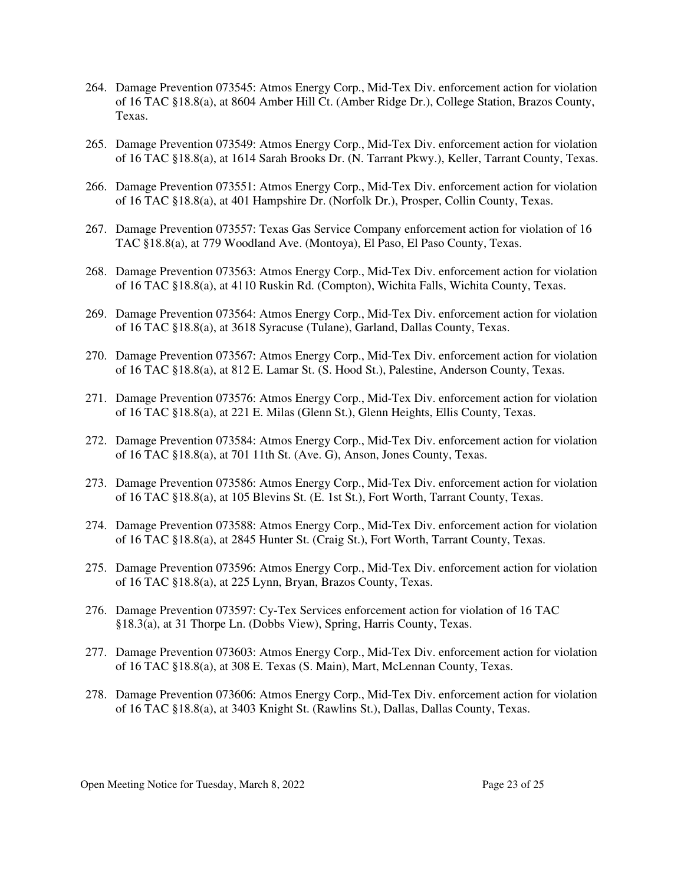- 264. Damage Prevention 073545: Atmos Energy Corp., Mid-Tex Div. enforcement action for violation of 16 TAC §18.8(a), at 8604 Amber Hill Ct. (Amber Ridge Dr.), College Station, Brazos County, Texas.
- 265. Damage Prevention 073549: Atmos Energy Corp., Mid-Tex Div. enforcement action for violation of 16 TAC §18.8(a), at 1614 Sarah Brooks Dr. (N. Tarrant Pkwy.), Keller, Tarrant County, Texas.
- 266. Damage Prevention 073551: Atmos Energy Corp., Mid-Tex Div. enforcement action for violation of 16 TAC §18.8(a), at 401 Hampshire Dr. (Norfolk Dr.), Prosper, Collin County, Texas.
- 267. Damage Prevention 073557: Texas Gas Service Company enforcement action for violation of 16 TAC §18.8(a), at 779 Woodland Ave. (Montoya), El Paso, El Paso County, Texas.
- 268. Damage Prevention 073563: Atmos Energy Corp., Mid-Tex Div. enforcement action for violation of 16 TAC §18.8(a), at 4110 Ruskin Rd. (Compton), Wichita Falls, Wichita County, Texas.
- 269. Damage Prevention 073564: Atmos Energy Corp., Mid-Tex Div. enforcement action for violation of 16 TAC §18.8(a), at 3618 Syracuse (Tulane), Garland, Dallas County, Texas.
- 270. Damage Prevention 073567: Atmos Energy Corp., Mid-Tex Div. enforcement action for violation of 16 TAC §18.8(a), at 812 E. Lamar St. (S. Hood St.), Palestine, Anderson County, Texas.
- 271. Damage Prevention 073576: Atmos Energy Corp., Mid-Tex Div. enforcement action for violation of 16 TAC §18.8(a), at 221 E. Milas (Glenn St.), Glenn Heights, Ellis County, Texas.
- 272. Damage Prevention 073584: Atmos Energy Corp., Mid-Tex Div. enforcement action for violation of 16 TAC §18.8(a), at 701 11th St. (Ave. G), Anson, Jones County, Texas.
- 273. Damage Prevention 073586: Atmos Energy Corp., Mid-Tex Div. enforcement action for violation of 16 TAC §18.8(a), at 105 Blevins St. (E. 1st St.), Fort Worth, Tarrant County, Texas.
- 274. Damage Prevention 073588: Atmos Energy Corp., Mid-Tex Div. enforcement action for violation of 16 TAC §18.8(a), at 2845 Hunter St. (Craig St.), Fort Worth, Tarrant County, Texas.
- 275. Damage Prevention 073596: Atmos Energy Corp., Mid-Tex Div. enforcement action for violation of 16 TAC §18.8(a), at 225 Lynn, Bryan, Brazos County, Texas.
- 276. Damage Prevention 073597: Cy-Tex Services enforcement action for violation of 16 TAC §18.3(a), at 31 Thorpe Ln. (Dobbs View), Spring, Harris County, Texas.
- 277. Damage Prevention 073603: Atmos Energy Corp., Mid-Tex Div. enforcement action for violation of 16 TAC §18.8(a), at 308 E. Texas (S. Main), Mart, McLennan County, Texas.
- 278. Damage Prevention 073606: Atmos Energy Corp., Mid-Tex Div. enforcement action for violation of 16 TAC §18.8(a), at 3403 Knight St. (Rawlins St.), Dallas, Dallas County, Texas.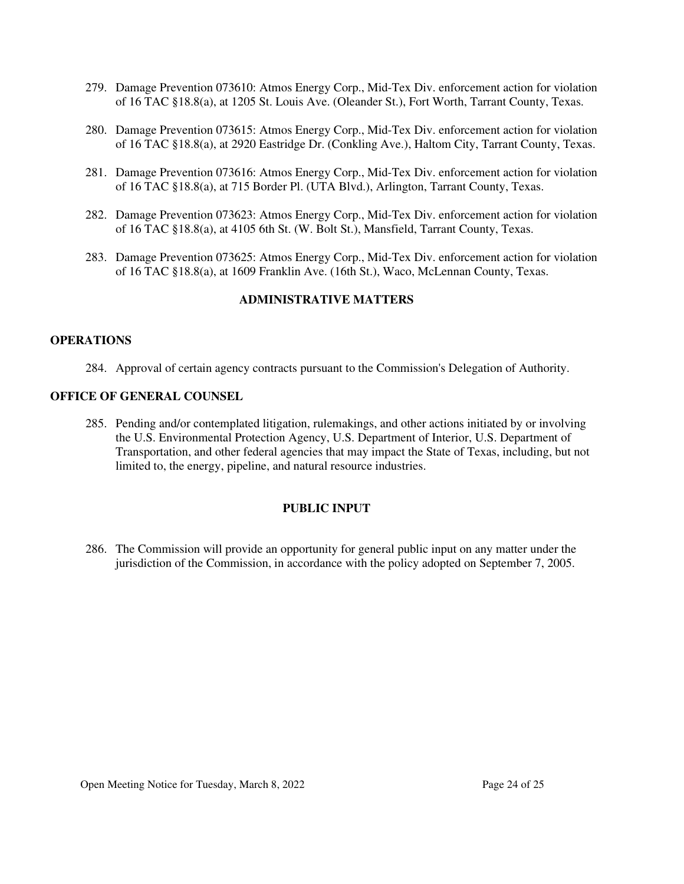- 279. Damage Prevention 073610: Atmos Energy Corp., Mid-Tex Div. enforcement action for violation of 16 TAC §18.8(a), at 1205 St. Louis Ave. (Oleander St.), Fort Worth, Tarrant County, Texas.
- 280. Damage Prevention 073615: Atmos Energy Corp., Mid-Tex Div. enforcement action for violation of 16 TAC §18.8(a), at 2920 Eastridge Dr. (Conkling Ave.), Haltom City, Tarrant County, Texas.
- 281. Damage Prevention 073616: Atmos Energy Corp., Mid-Tex Div. enforcement action for violation of 16 TAC §18.8(a), at 715 Border Pl. (UTA Blvd.), Arlington, Tarrant County, Texas.
- 282. Damage Prevention 073623: Atmos Energy Corp., Mid-Tex Div. enforcement action for violation of 16 TAC §18.8(a), at 4105 6th St. (W. Bolt St.), Mansfield, Tarrant County, Texas.
- 283. Damage Prevention 073625: Atmos Energy Corp., Mid-Tex Div. enforcement action for violation of 16 TAC §18.8(a), at 1609 Franklin Ave. (16th St.), Waco, McLennan County, Texas.

## **ADMINISTRATIVE MATTERS**

#### **OPERATIONS**

284. Approval of certain agency contracts pursuant to the Commission's Delegation of Authority.

#### **OFFICE OF GENERAL COUNSEL**

285. Pending and/or contemplated litigation, rulemakings, and other actions initiated by or involving the U.S. Environmental Protection Agency, U.S. Department of Interior, U.S. Department of Transportation, and other federal agencies that may impact the State of Texas, including, but not limited to, the energy, pipeline, and natural resource industries.

#### **PUBLIC INPUT**

286. The Commission will provide an opportunity for general public input on any matter under the jurisdiction of the Commission, in accordance with the policy adopted on September 7, 2005.